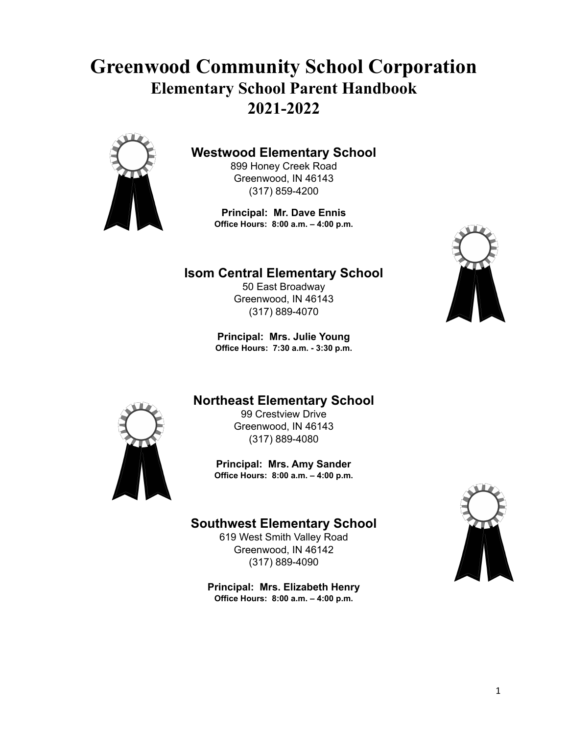# **Greenwood Community School Corporation Elementary School Parent Handbook 2021-2022**



## **Westwood Elementary School**

899 Honey Creek Road Greenwood, IN 46143 (317) 859-4200

**Principal: Mr. Dave Ennis Office Hours: 8:00 a.m. – 4:00 p.m.**

## **Isom Central Elementary School**

50 East Broadway Greenwood, IN 46143 (317) 889-4070

**Principal: Mrs. Julie Young Office Hours: 7:30 a.m. - 3:30 p.m.**



## **Northeast Elementary School**



99 Crestview Drive Greenwood, IN 46143 (317) 889-4080

**Principal: Mrs. Amy Sander Office Hours: 8:00 a.m. – 4:00 p.m.**

## **Southwest Elementary School**

619 West Smith Valley Road Greenwood, IN 46142 (317) 889-4090

**Principal: Mrs. Elizabeth Henry Office Hours: 8:00 a.m. – 4:00 p.m.**

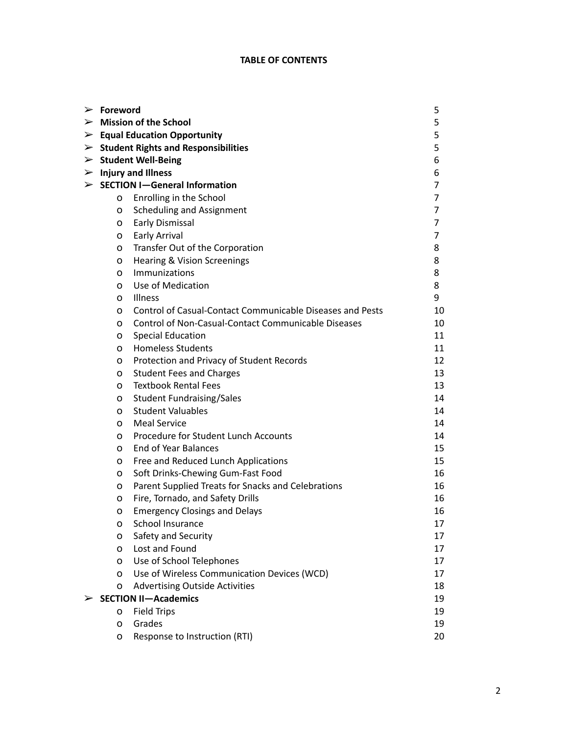## **TABLE OF CONTENTS**

| $\triangleright$ Foreword<br>5                       |                                                           |    |
|------------------------------------------------------|-----------------------------------------------------------|----|
|                                                      | $\triangleright$ Mission of the School                    | 5  |
| $\triangleright$ Equal Education Opportunity         |                                                           |    |
| $\triangleright$ Student Rights and Responsibilities |                                                           |    |
| $\triangleright$ Student Well-Being                  |                                                           |    |
| $\triangleright$ Injury and Illness                  |                                                           |    |
|                                                      | $\triangleright$ SECTION I-General Information            | 7  |
| O                                                    | Enrolling in the School                                   | 7  |
| o                                                    | <b>Scheduling and Assignment</b>                          | 7  |
| 0                                                    | Early Dismissal                                           | 7  |
| 0                                                    | Early Arrival                                             | 7  |
| o                                                    | Transfer Out of the Corporation                           | 8  |
| o                                                    | <b>Hearing &amp; Vision Screenings</b>                    | 8  |
| 0                                                    | Immunizations                                             | 8  |
| 0                                                    | Use of Medication                                         | 8  |
| 0                                                    | Illness                                                   | 9  |
| 0                                                    | Control of Casual-Contact Communicable Diseases and Pests | 10 |
| 0                                                    | Control of Non-Casual-Contact Communicable Diseases       | 10 |
| o                                                    | <b>Special Education</b>                                  | 11 |
| о                                                    | <b>Homeless Students</b>                                  | 11 |
| o                                                    | Protection and Privacy of Student Records                 | 12 |
| o                                                    | <b>Student Fees and Charges</b>                           | 13 |
| 0                                                    | <b>Textbook Rental Fees</b>                               | 13 |
| o                                                    | <b>Student Fundraising/Sales</b>                          | 14 |
| 0                                                    | <b>Student Valuables</b>                                  | 14 |
| o                                                    | <b>Meal Service</b>                                       | 14 |
| 0                                                    | Procedure for Student Lunch Accounts                      | 14 |
| 0                                                    | End of Year Balances                                      | 15 |
| o                                                    | Free and Reduced Lunch Applications                       | 15 |
| o                                                    | Soft Drinks-Chewing Gum-Fast Food                         | 16 |
| o                                                    | Parent Supplied Treats for Snacks and Celebrations        | 16 |
| o                                                    | Fire, Tornado, and Safety Drills                          | 16 |
| 0                                                    | <b>Emergency Closings and Delays</b>                      | 16 |
| o                                                    | School Insurance                                          | 17 |
| o                                                    | Safety and Security                                       | 17 |
| о                                                    | Lost and Found                                            | 17 |
| o                                                    | Use of School Telephones                                  | 17 |
| o                                                    | Use of Wireless Communication Devices (WCD)               | 17 |
| 0                                                    | <b>Advertising Outside Activities</b>                     | 18 |
|                                                      | <b>SECTION II-Academics</b>                               | 19 |
| o                                                    | <b>Field Trips</b>                                        | 19 |
| 0                                                    | Grades                                                    | 19 |
| o                                                    | Response to Instruction (RTI)                             | 20 |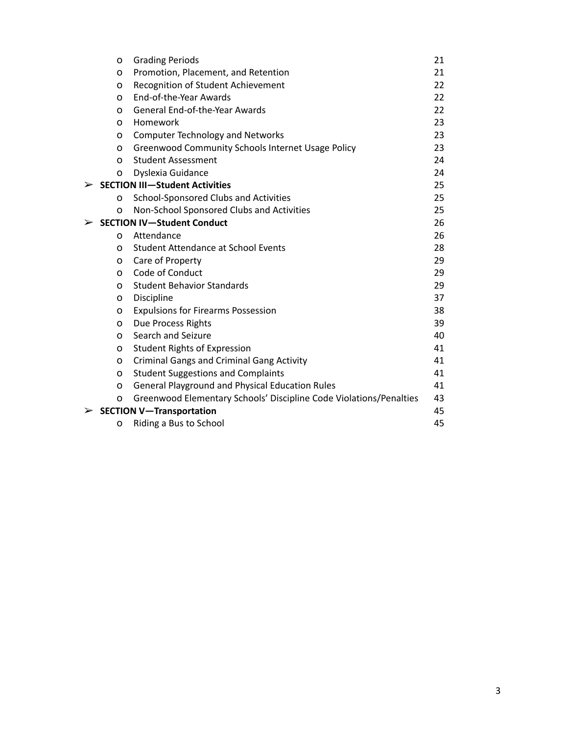| O        | <b>Grading Periods</b>                                             | 21 |
|----------|--------------------------------------------------------------------|----|
| $\Omega$ | Promotion, Placement, and Retention                                | 21 |
| O        | Recognition of Student Achievement                                 | 22 |
| $\Omega$ | End-of-the-Year Awards                                             | 22 |
| O        | <b>General End-of-the-Year Awards</b>                              | 22 |
| $\Omega$ | Homework                                                           | 23 |
| o        | <b>Computer Technology and Networks</b>                            | 23 |
| O        | <b>Greenwood Community Schools Internet Usage Policy</b>           | 23 |
| O        | <b>Student Assessment</b>                                          | 24 |
| O        | Dyslexia Guidance                                                  | 24 |
|          | $\triangleright$ SECTION III-Student Activities                    | 25 |
| 0        | School-Sponsored Clubs and Activities                              | 25 |
| O        | Non-School Sponsored Clubs and Activities                          | 25 |
| ➤        | <b>SECTION IV-Student Conduct</b>                                  | 26 |
| O        | Attendance                                                         | 26 |
| O        | <b>Student Attendance at School Events</b>                         | 28 |
| O        | Care of Property                                                   | 29 |
| $\Omega$ | Code of Conduct                                                    | 29 |
| O        | <b>Student Behavior Standards</b>                                  | 29 |
| O        | Discipline                                                         | 37 |
| O        | <b>Expulsions for Firearms Possession</b>                          | 38 |
| o        | Due Process Rights                                                 | 39 |
| 0        | Search and Seizure                                                 | 40 |
| 0        | <b>Student Rights of Expression</b>                                | 41 |
| 0        | <b>Criminal Gangs and Criminal Gang Activity</b>                   | 41 |
| O        | <b>Student Suggestions and Complaints</b>                          | 41 |
| O        | <b>General Playground and Physical Education Rules</b>             | 41 |
| o        | Greenwood Elementary Schools' Discipline Code Violations/Penalties | 43 |
| ➤        | <b>SECTION V-Transportation</b>                                    | 45 |
| O        | Riding a Bus to School                                             | 45 |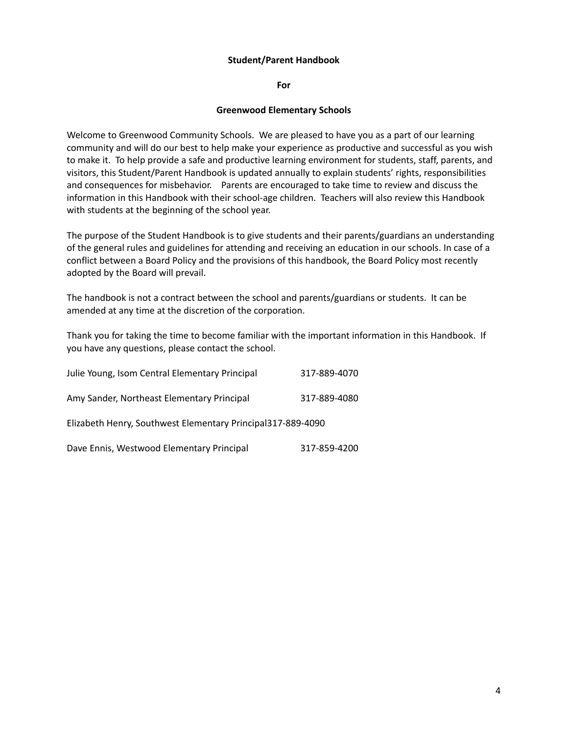#### **Student/Parent Handbook**

**For**

#### **Greenwood Elementary Schools**

Welcome to Greenwood Community Schools. We are pleased to have you as a part of our learning community and will do our best to help make your experience as productive and successful as you wish to make it. To help provide a safe and productive learning environment for students, staff, parents, and visitors, this Student/Parent Handbook is updated annually to explain students' rights, responsibilities and consequences for misbehavior. Parents are encouraged to take time to review and discuss the information in this Handbook with their school-age children. Teachers will also review this Handbook with students at the beginning of the school year.

The purpose of the Student Handbook is to give students and their parents/guardians an understanding of the general rules and guidelines for attending and receiving an education in our schools. In case of a conflict between a Board Policy and the provisions of this handbook, the Board Policy most recently adopted by the Board will prevail.

The handbook is not a contract between the school and parents/guardians or students. It can be amended at any time at the discretion of the corporation.

Thank you for taking the time to become familiar with the important information in this Handbook. If you have any questions, please contact the school.

| Julie Young, Isom Central Elementary Principal              | 317-889-4070 |  |  |
|-------------------------------------------------------------|--------------|--|--|
| Amy Sander, Northeast Elementary Principal                  | 317-889-4080 |  |  |
| Elizabeth Henry, Southwest Elementary Principal317-889-4090 |              |  |  |
| Dave Ennis, Westwood Elementary Principal                   | 317-859-4200 |  |  |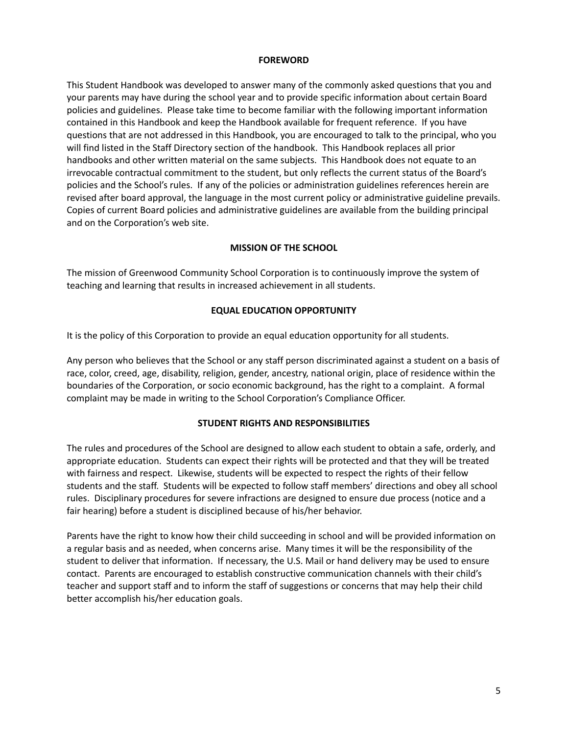#### **FOREWORD**

This Student Handbook was developed to answer many of the commonly asked questions that you and your parents may have during the school year and to provide specific information about certain Board policies and guidelines. Please take time to become familiar with the following important information contained in this Handbook and keep the Handbook available for frequent reference. If you have questions that are not addressed in this Handbook, you are encouraged to talk to the principal, who you will find listed in the Staff Directory section of the handbook. This Handbook replaces all prior handbooks and other written material on the same subjects. This Handbook does not equate to an irrevocable contractual commitment to the student, but only reflects the current status of the Board's policies and the School's rules. If any of the policies or administration guidelines references herein are revised after board approval, the language in the most current policy or administrative guideline prevails. Copies of current Board policies and administrative guidelines are available from the building principal and on the Corporation's web site.

#### **MISSION OF THE SCHOOL**

The mission of Greenwood Community School Corporation is to continuously improve the system of teaching and learning that results in increased achievement in all students.

#### **EQUAL EDUCATION OPPORTUNITY**

It is the policy of this Corporation to provide an equal education opportunity for all students.

Any person who believes that the School or any staff person discriminated against a student on a basis of race, color, creed, age, disability, religion, gender, ancestry, national origin, place of residence within the boundaries of the Corporation, or socio economic background, has the right to a complaint. A formal complaint may be made in writing to the School Corporation's Compliance Officer.

#### **STUDENT RIGHTS AND RESPONSIBILITIES**

The rules and procedures of the School are designed to allow each student to obtain a safe, orderly, and appropriate education. Students can expect their rights will be protected and that they will be treated with fairness and respect. Likewise, students will be expected to respect the rights of their fellow students and the staff. Students will be expected to follow staff members' directions and obey all school rules. Disciplinary procedures for severe infractions are designed to ensure due process (notice and a fair hearing) before a student is disciplined because of his/her behavior.

Parents have the right to know how their child succeeding in school and will be provided information on a regular basis and as needed, when concerns arise. Many times it will be the responsibility of the student to deliver that information. If necessary, the U.S. Mail or hand delivery may be used to ensure contact. Parents are encouraged to establish constructive communication channels with their child's teacher and support staff and to inform the staff of suggestions or concerns that may help their child better accomplish his/her education goals.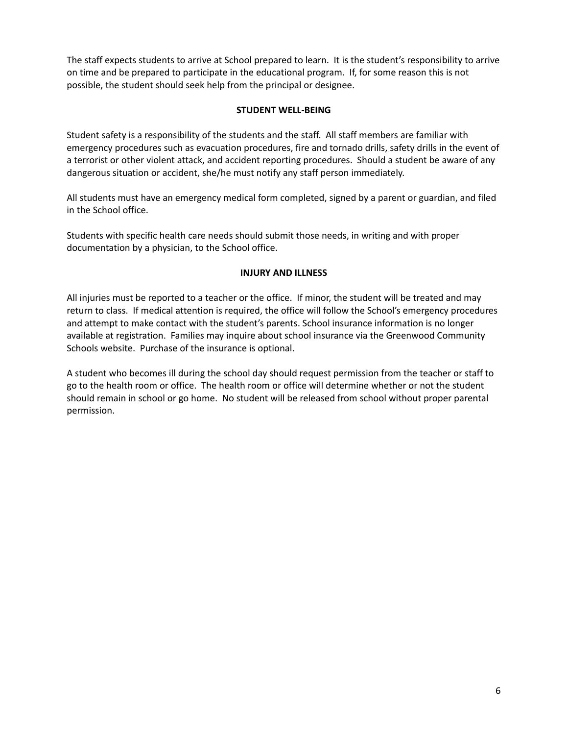The staff expects students to arrive at School prepared to learn. It is the student's responsibility to arrive on time and be prepared to participate in the educational program. If, for some reason this is not possible, the student should seek help from the principal or designee.

#### **STUDENT WELL-BEING**

Student safety is a responsibility of the students and the staff. All staff members are familiar with emergency procedures such as evacuation procedures, fire and tornado drills, safety drills in the event of a terrorist or other violent attack, and accident reporting procedures. Should a student be aware of any dangerous situation or accident, she/he must notify any staff person immediately.

All students must have an emergency medical form completed, signed by a parent or guardian, and filed in the School office.

Students with specific health care needs should submit those needs, in writing and with proper documentation by a physician, to the School office.

#### **INJURY AND ILLNESS**

All injuries must be reported to a teacher or the office. If minor, the student will be treated and may return to class. If medical attention is required, the office will follow the School's emergency procedures and attempt to make contact with the student's parents. School insurance information is no longer available at registration. Families may inquire about school insurance via the Greenwood Community Schools website. Purchase of the insurance is optional.

A student who becomes ill during the school day should request permission from the teacher or staff to go to the health room or office. The health room or office will determine whether or not the student should remain in school or go home. No student will be released from school without proper parental permission.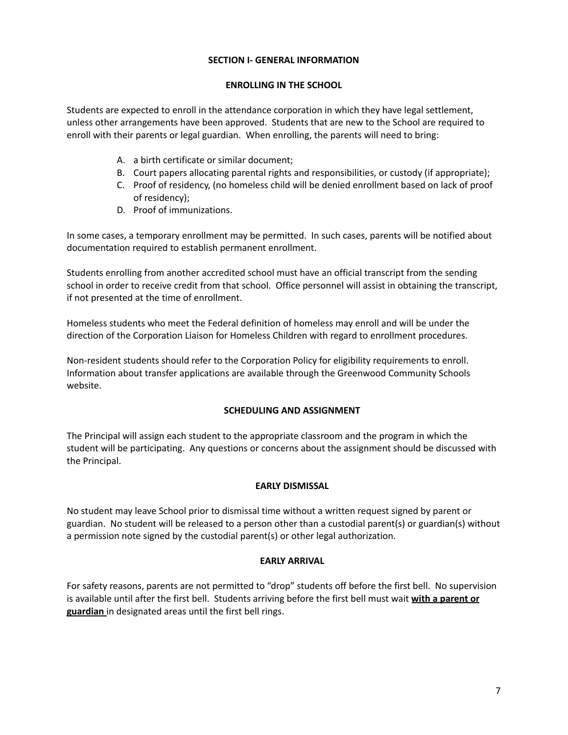#### **SECTION I- GENERAL INFORMATION**

#### **ENROLLING IN THE SCHOOL**

Students are expected to enroll in the attendance corporation in which they have legal settlement, unless other arrangements have been approved. Students that are new to the School are required to enroll with their parents or legal guardian. When enrolling, the parents will need to bring:

- A. a birth certificate or similar document;
- B. Court papers allocating parental rights and responsibilities, or custody (if appropriate);
- C. Proof of residency, (no homeless child will be denied enrollment based on lack of proof of residency);
- D. Proof of immunizations.

In some cases, a temporary enrollment may be permitted. In such cases, parents will be notified about documentation required to establish permanent enrollment.

Students enrolling from another accredited school must have an official transcript from the sending school in order to receive credit from that school. Office personnel will assist in obtaining the transcript, if not presented at the time of enrollment.

Homeless students who meet the Federal definition of homeless may enroll and will be under the direction of the Corporation Liaison for Homeless Children with regard to enrollment procedures.

Non-resident students should refer to the Corporation Policy for eligibility requirements to enroll. Information about transfer applications are available through the Greenwood Community Schools website.

#### **SCHEDULING AND ASSIGNMENT**

The Principal will assign each student to the appropriate classroom and the program in which the student will be participating. Any questions or concerns about the assignment should be discussed with the Principal.

#### **EARLY DISMISSAL**

No student may leave School prior to dismissal time without a written request signed by parent or guardian. No student will be released to a person other than a custodial parent(s) or guardian(s) without a permission note signed by the custodial parent(s) or other legal authorization.

#### **EARLY ARRIVAL**

For safety reasons, parents are not permitted to "drop" students off before the first bell. No supervision is available until after the first bell. Students arriving before the first bell must wait **with a parent or guardian** in designated areas until the first bell rings.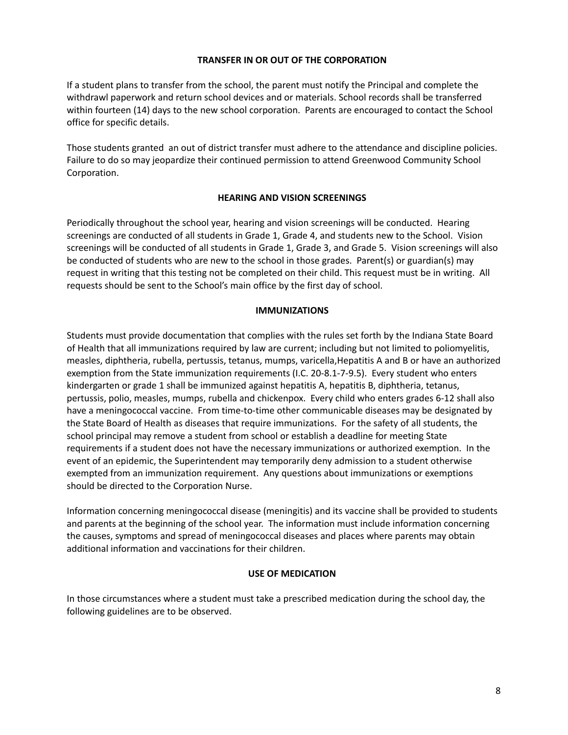#### **TRANSFER IN OR OUT OF THE CORPORATION**

If a student plans to transfer from the school, the parent must notify the Principal and complete the withdrawl paperwork and return school devices and or materials. School records shall be transferred within fourteen (14) days to the new school corporation. Parents are encouraged to contact the School office for specific details.

Those students granted an out of district transfer must adhere to the attendance and discipline policies. Failure to do so may jeopardize their continued permission to attend Greenwood Community School Corporation.

#### **HEARING AND VISION SCREENINGS**

Periodically throughout the school year, hearing and vision screenings will be conducted. Hearing screenings are conducted of all students in Grade 1, Grade 4, and students new to the School. Vision screenings will be conducted of all students in Grade 1, Grade 3, and Grade 5. Vision screenings will also be conducted of students who are new to the school in those grades. Parent(s) or guardian(s) may request in writing that this testing not be completed on their child. This request must be in writing. All requests should be sent to the School's main office by the first day of school.

#### **IMMUNIZATIONS**

Students must provide documentation that complies with the rules set forth by the Indiana State Board of Health that all immunizations required by law are current; including but not limited to poliomyelitis, measles, diphtheria, rubella, pertussis, tetanus, mumps, varicella,Hepatitis A and B or have an authorized exemption from the State immunization requirements (I.C. 20-8.1-7-9.5). Every student who enters kindergarten or grade 1 shall be immunized against hepatitis A, hepatitis B, diphtheria, tetanus, pertussis, polio, measles, mumps, rubella and chickenpox. Every child who enters grades 6-12 shall also have a meningococcal vaccine. From time-to-time other communicable diseases may be designated by the State Board of Health as diseases that require immunizations. For the safety of all students, the school principal may remove a student from school or establish a deadline for meeting State requirements if a student does not have the necessary immunizations or authorized exemption. In the event of an epidemic, the Superintendent may temporarily deny admission to a student otherwise exempted from an immunization requirement. Any questions about immunizations or exemptions should be directed to the Corporation Nurse.

Information concerning meningococcal disease (meningitis) and its vaccine shall be provided to students and parents at the beginning of the school year. The information must include information concerning the causes, symptoms and spread of meningococcal diseases and places where parents may obtain additional information and vaccinations for their children.

#### **USE OF MEDICATION**

In those circumstances where a student must take a prescribed medication during the school day, the following guidelines are to be observed.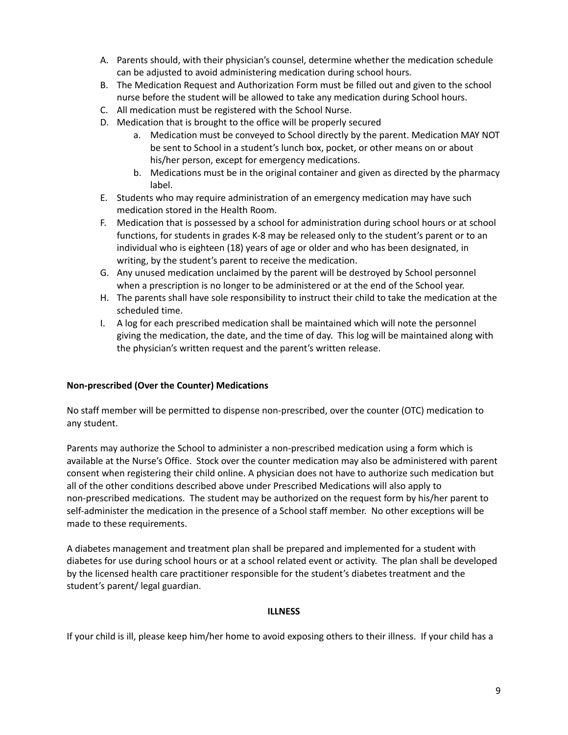- A. Parents should, with their physician's counsel, determine whether the medication schedule can be adjusted to avoid administering medication during school hours.
- B. The Medication Request and Authorization Form must be filled out and given to the school nurse before the student will be allowed to take any medication during School hours.
- C. All medication must be registered with the School Nurse.
- D. Medication that is brought to the office will be properly secured
	- a. Medication must be conveyed to School directly by the parent. Medication MAY NOT be sent to School in a student's lunch box, pocket, or other means on or about his/her person, except for emergency medications.
	- b. Medications must be in the original container and given as directed by the pharmacy label.
- E. Students who may require administration of an emergency medication may have such medication stored in the Health Room.
- F. Medication that is possessed by a school for administration during school hours or at school functions, for students in grades K-8 may be released only to the student's parent or to an individual who is eighteen (18) years of age or older and who has been designated, in writing, by the student's parent to receive the medication.
- G. Any unused medication unclaimed by the parent will be destroyed by School personnel when a prescription is no longer to be administered or at the end of the School year.
- H. The parents shall have sole responsibility to instruct their child to take the medication at the scheduled time.
- I. A log for each prescribed medication shall be maintained which will note the personnel giving the medication, the date, and the time of day. This log will be maintained along with the physician's written request and the parent's written release.

## **Non-prescribed (Over the Counter) Medications**

No staff member will be permitted to dispense non-prescribed, over the counter (OTC) medication to any student.

Parents may authorize the School to administer a non-prescribed medication using a form which is available at the Nurse's Office. Stock over the counter medication may also be administered with parent consent when registering their child online. A physician does not have to authorize such medication but all of the other conditions described above under Prescribed Medications will also apply to non-prescribed medications. The student may be authorized on the request form by his/her parent to self-administer the medication in the presence of a School staff member. No other exceptions will be made to these requirements.

A diabetes management and treatment plan shall be prepared and implemented for a student with diabetes for use during school hours or at a school related event or activity. The plan shall be developed by the licensed health care practitioner responsible for the student's diabetes treatment and the student's parent/ legal guardian.

#### **ILLNESS**

If your child is ill, please keep him/her home to avoid exposing others to their illness. If your child has a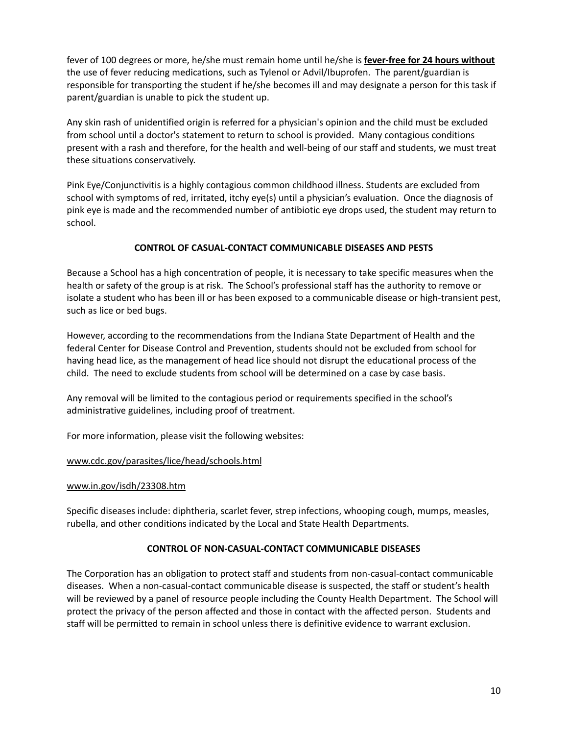fever of 100 degrees or more, he/she must remain home until he/she is **fever-free for 24 hours without** the use of fever reducing medications, such as Tylenol or Advil/Ibuprofen. The parent/guardian is responsible for transporting the student if he/she becomes ill and may designate a person for this task if parent/guardian is unable to pick the student up.

Any skin rash of unidentified origin is referred for a physician's opinion and the child must be excluded from school until a doctor's statement to return to school is provided. Many contagious conditions present with a rash and therefore, for the health and well-being of our staff and students, we must treat these situations conservatively.

Pink Eye/Conjunctivitis is a highly contagious common childhood illness. Students are excluded from school with symptoms of red, irritated, itchy eye(s) until a physician's evaluation. Once the diagnosis of pink eye is made and the recommended number of antibiotic eye drops used, the student may return to school.

## **CONTROL OF CASUAL-CONTACT COMMUNICABLE DISEASES AND PESTS**

Because a School has a high concentration of people, it is necessary to take specific measures when the health or safety of the group is at risk. The School's professional staff has the authority to remove or isolate a student who has been ill or has been exposed to a communicable disease or high-transient pest, such as lice or bed bugs.

However, according to the recommendations from the Indiana State Department of Health and the federal Center for Disease Control and Prevention, students should not be excluded from school for having head lice, as the management of head lice should not disrupt the educational process of the child. The need to exclude students from school will be determined on a case by case basis.

Any removal will be limited to the contagious period or requirements specified in the school's administrative guidelines, including proof of treatment.

For more information, please visit the following websites:

#### [www.cdc.gov/parasites/lice/head/schools.html](http://www.cdc.gov/parasites/lice/head/schools.html)

#### [www.in.gov/isdh/23308.htm](http://www.in.gov/isdh/23308.htm)

Specific diseases include: diphtheria, scarlet fever, strep infections, whooping cough, mumps, measles, rubella, and other conditions indicated by the Local and State Health Departments.

#### **CONTROL OF NON-CASUAL-CONTACT COMMUNICABLE DISEASES**

The Corporation has an obligation to protect staff and students from non-casual-contact communicable diseases. When a non-casual-contact communicable disease is suspected, the staff or student's health will be reviewed by a panel of resource people including the County Health Department. The School will protect the privacy of the person affected and those in contact with the affected person. Students and staff will be permitted to remain in school unless there is definitive evidence to warrant exclusion.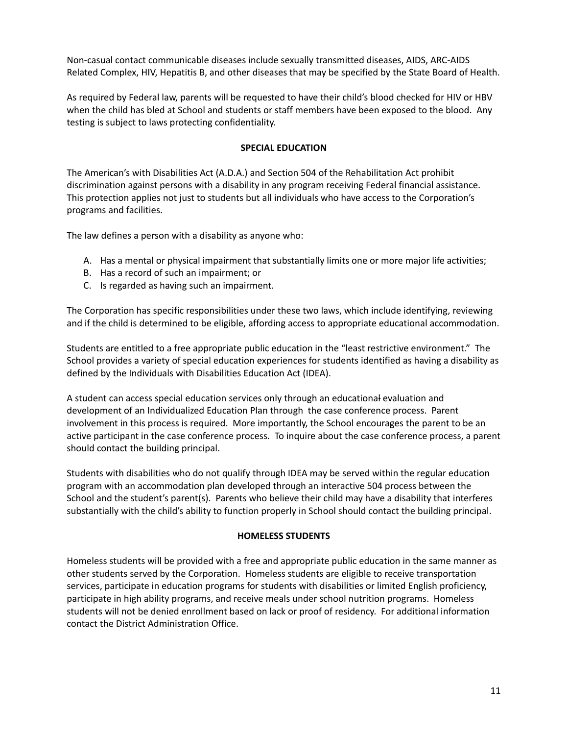Non-casual contact communicable diseases include sexually transmitted diseases, AIDS, ARC-AIDS Related Complex, HIV, Hepatitis B, and other diseases that may be specified by the State Board of Health.

As required by Federal law, parents will be requested to have their child's blood checked for HIV or HBV when the child has bled at School and students or staff members have been exposed to the blood. Any testing is subject to laws protecting confidentiality.

#### **SPECIAL EDUCATION**

The American's with Disabilities Act (A.D.A.) and Section 504 of the Rehabilitation Act prohibit discrimination against persons with a disability in any program receiving Federal financial assistance. This protection applies not just to students but all individuals who have access to the Corporation's programs and facilities.

The law defines a person with a disability as anyone who:

- A. Has a mental or physical impairment that substantially limits one or more major life activities;
- B. Has a record of such an impairment; or
- C. Is regarded as having such an impairment.

The Corporation has specific responsibilities under these two laws, which include identifying, reviewing and if the child is determined to be eligible, affording access to appropriate educational accommodation.

Students are entitled to a free appropriate public education in the "least restrictive environment." The School provides a variety of special education experiences for students identified as having a disability as defined by the Individuals with Disabilities Education Act (IDEA).

A student can access special education services only through an educational evaluation and development of an Individualized Education Plan through the case conference process. Parent involvement in this process is required. More importantly, the School encourages the parent to be an active participant in the case conference process. To inquire about the case conference process, a parent should contact the building principal.

Students with disabilities who do not qualify through IDEA may be served within the regular education program with an accommodation plan developed through an interactive 504 process between the School and the student's parent(s). Parents who believe their child may have a disability that interferes substantially with the child's ability to function properly in School should contact the building principal.

#### **HOMELESS STUDENTS**

Homeless students will be provided with a free and appropriate public education in the same manner as other students served by the Corporation. Homeless students are eligible to receive transportation services, participate in education programs for students with disabilities or limited English proficiency, participate in high ability programs, and receive meals under school nutrition programs. Homeless students will not be denied enrollment based on lack or proof of residency. For additional information contact the District Administration Office.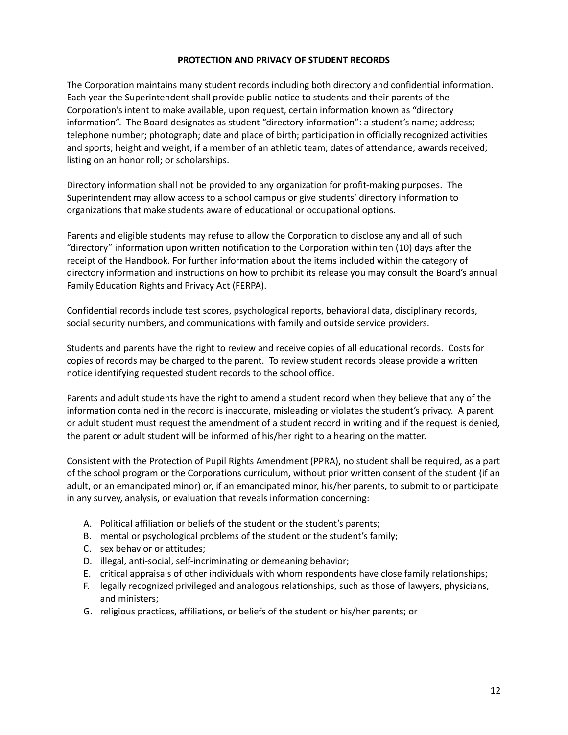#### **PROTECTION AND PRIVACY OF STUDENT RECORDS**

The Corporation maintains many student records including both directory and confidential information. Each year the Superintendent shall provide public notice to students and their parents of the Corporation's intent to make available, upon request, certain information known as "directory information". The Board designates as student "directory information": a student's name; address; telephone number; photograph; date and place of birth; participation in officially recognized activities and sports; height and weight, if a member of an athletic team; dates of attendance; awards received; listing on an honor roll; or scholarships.

Directory information shall not be provided to any organization for profit-making purposes. The Superintendent may allow access to a school campus or give students' directory information to organizations that make students aware of educational or occupational options.

Parents and eligible students may refuse to allow the Corporation to disclose any and all of such "directory" information upon written notification to the Corporation within ten (10) days after the receipt of the Handbook. For further information about the items included within the category of directory information and instructions on how to prohibit its release you may consult the Board's annual Family Education Rights and Privacy Act (FERPA).

Confidential records include test scores, psychological reports, behavioral data, disciplinary records, social security numbers, and communications with family and outside service providers.

Students and parents have the right to review and receive copies of all educational records. Costs for copies of records may be charged to the parent. To review student records please provide a written notice identifying requested student records to the school office.

Parents and adult students have the right to amend a student record when they believe that any of the information contained in the record is inaccurate, misleading or violates the student's privacy. A parent or adult student must request the amendment of a student record in writing and if the request is denied, the parent or adult student will be informed of his/her right to a hearing on the matter.

Consistent with the Protection of Pupil Rights Amendment (PPRA), no student shall be required, as a part of the school program or the Corporations curriculum, without prior written consent of the student (if an adult, or an emancipated minor) or, if an emancipated minor, his/her parents, to submit to or participate in any survey, analysis, or evaluation that reveals information concerning:

- A. Political affiliation or beliefs of the student or the student's parents;
- B. mental or psychological problems of the student or the student's family;
- C. sex behavior or attitudes;
- D. illegal, anti-social, self-incriminating or demeaning behavior;
- E. critical appraisals of other individuals with whom respondents have close family relationships;
- F. legally recognized privileged and analogous relationships, such as those of lawyers, physicians, and ministers;
- G. religious practices, affiliations, or beliefs of the student or his/her parents; or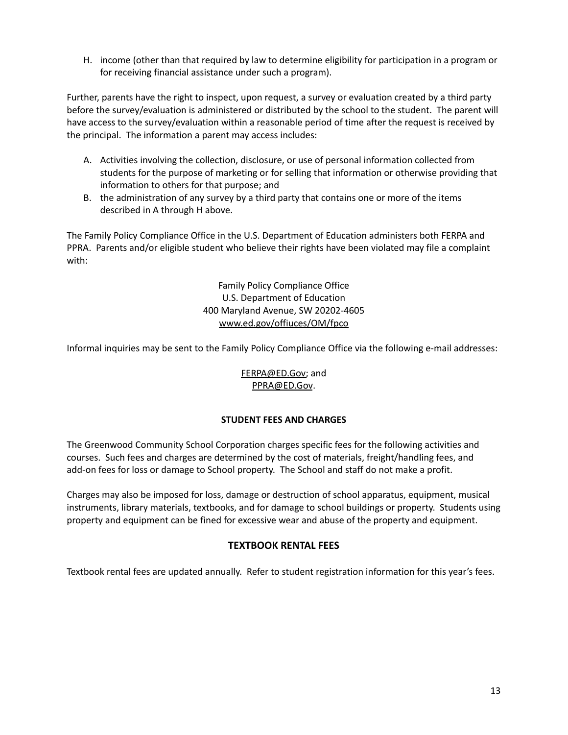H. income (other than that required by law to determine eligibility for participation in a program or for receiving financial assistance under such a program).

Further, parents have the right to inspect, upon request, a survey or evaluation created by a third party before the survey/evaluation is administered or distributed by the school to the student. The parent will have access to the survey/evaluation within a reasonable period of time after the request is received by the principal. The information a parent may access includes:

- A. Activities involving the collection, disclosure, or use of personal information collected from students for the purpose of marketing or for selling that information or otherwise providing that information to others for that purpose; and
- B. the administration of any survey by a third party that contains one or more of the items described in A through H above.

The Family Policy Compliance Office in the U.S. Department of Education administers both FERPA and PPRA. Parents and/or eligible student who believe their rights have been violated may file a complaint with:

> Family Policy Compliance Office U.S. Department of Education 400 Maryland Avenue, SW 20202-4605 [www.ed.gov/offiuces/OM/fpco](http://www.ed.gov/offiuces/OM/fpco)

Informal inquiries may be sent to the Family Policy Compliance Office via the following e-mail addresses:

[FERPA@ED.Gov;](mailto:FERPA@ED.Gov) and [PPRA@ED.Gov](mailto:PPRA@ED.Gov).

#### **STUDENT FEES AND CHARGES**

The Greenwood Community School Corporation charges specific fees for the following activities and courses. Such fees and charges are determined by the cost of materials, freight/handling fees, and add-on fees for loss or damage to School property. The School and staff do not make a profit.

Charges may also be imposed for loss, damage or destruction of school apparatus, equipment, musical instruments, library materials, textbooks, and for damage to school buildings or property. Students using property and equipment can be fined for excessive wear and abuse of the property and equipment.

## **TEXTBOOK RENTAL FEES**

Textbook rental fees are updated annually. Refer to student registration information for this year's fees.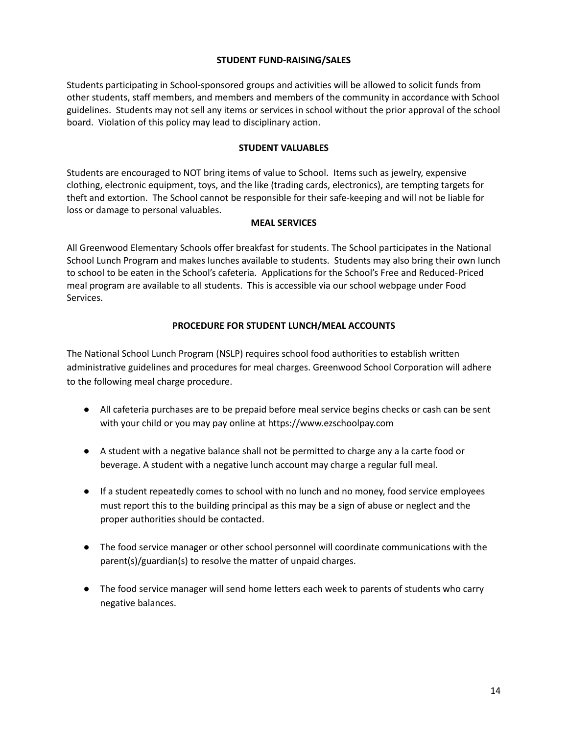#### **STUDENT FUND-RAISING/SALES**

Students participating in School-sponsored groups and activities will be allowed to solicit funds from other students, staff members, and members and members of the community in accordance with School guidelines. Students may not sell any items or services in school without the prior approval of the school board. Violation of this policy may lead to disciplinary action.

#### **STUDENT VALUABLES**

Students are encouraged to NOT bring items of value to School. Items such as jewelry, expensive clothing, electronic equipment, toys, and the like (trading cards, electronics), are tempting targets for theft and extortion. The School cannot be responsible for their safe-keeping and will not be liable for loss or damage to personal valuables.

#### **MEAL SERVICES**

All Greenwood Elementary Schools offer breakfast for students. The School participates in the National School Lunch Program and makes lunches available to students. Students may also bring their own lunch to school to be eaten in the School's cafeteria. Applications for the School's Free and Reduced-Priced meal program are available to all students. This is accessible via our school webpage under Food Services.

#### **PROCEDURE FOR STUDENT LUNCH/MEAL ACCOUNTS**

The National School Lunch Program (NSLP) requires school food authorities to establish written administrative guidelines and procedures for meal charges. Greenwood School Corporation will adhere to the following meal charge procedure.

- All cafeteria purchases are to be prepaid before meal service begins checks or cash can be sent with your child or you may pay online at https://www.ezschoolpay.com
- A student with a negative balance shall not be permitted to charge any a la carte food or beverage. A student with a negative lunch account may charge a regular full meal.
- If a student repeatedly comes to school with no lunch and no money, food service employees must report this to the building principal as this may be a sign of abuse or neglect and the proper authorities should be contacted.
- The food service manager or other school personnel will coordinate communications with the parent(s)/guardian(s) to resolve the matter of unpaid charges.
- The food service manager will send home letters each week to parents of students who carry negative balances.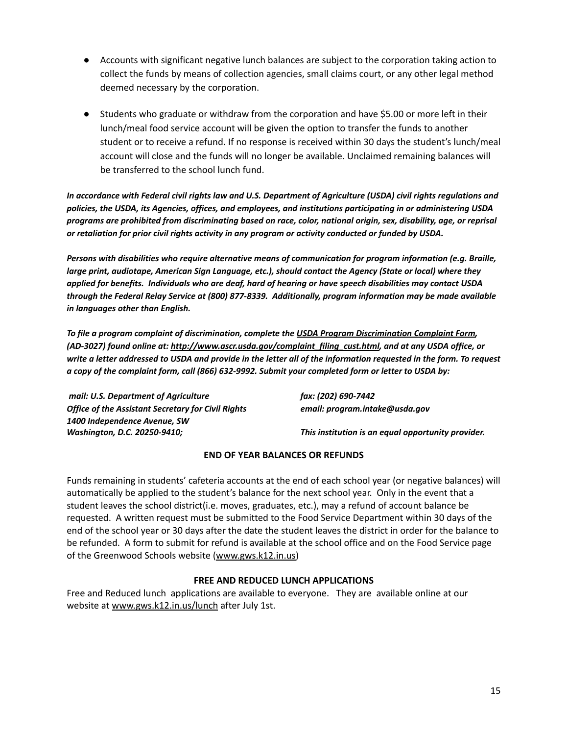- Accounts with significant negative lunch balances are subject to the corporation taking action to collect the funds by means of collection agencies, small claims court, or any other legal method deemed necessary by the corporation.
- Students who graduate or withdraw from the corporation and have \$5.00 or more left in their lunch/meal food service account will be given the option to transfer the funds to another student or to receive a refund. If no response is received within 30 days the student's lunch/meal account will close and the funds will no longer be available. Unclaimed remaining balances will be transferred to the school lunch fund.

In accordance with Federal civil rights law and U.S. Department of Agriculture (USDA) civil rights regulations and *policies, the USDA, its Agencies, offices, and employees, and institutions participating in or administering USDA* programs are prohibited from discriminating based on race, color, national origin, sex, disability, age, or reprisal *or retaliation for prior civil rights activity in any program or activity conducted or funded by USDA.*

*Persons with disabilities who require alternative means of communication for program information (e.g. Braille, large print, audiotape, American Sign Language, etc.), should contact the Agency (State or local) where they* applied for benefits. Individuals who are deaf, hard of hearing or have speech disabilities may contact USDA *through the Federal Relay Service at (800) 877-8339. Additionally, program information may be made available in languages other than English.*

*To file a program complaint of discrimination, complete the USDA Program [Discrimination](http://www.ocio.usda.gov/sites/default/files/docs/2012/Complain_combined_6_8_12.pdf) Complaint Form, (AD-3027) found online at: [http://www.ascr.usda.gov/complaint\\_filing\\_cust.html](http://www.ascr.usda.gov/complaint_filing_cust.html), and at any USDA office, or* write a letter addressed to USDA and provide in the letter all of the information requested in the form. To request a copy of the complaint form, call (866) 632-9992. Submit your completed form or letter to USDA by:

*mail: U.S. Department of Agriculture fax: (202) 690-7442 Office of the Assistant Secretary for Civil Rights email: program.intake@usda.gov 1400 Independence Avenue, SW*

*Washington, D.C. 20250-9410; This institution is an equal opportunity provider.*

#### **END OF YEAR BALANCES OR REFUNDS**

Funds remaining in students' cafeteria accounts at the end of each school year (or negative balances) will automatically be applied to the student's balance for the next school year. Only in the event that a student leaves the school district(i.e. moves, graduates, etc.), may a refund of account balance be requested. A written request must be submitted to the Food Service Department within 30 days of the end of the school year or 30 days after the date the student leaves the district in order for the balance to be refunded. A form to submit for refund is available at the school office and on the Food Service page of the Greenwood Schools website ([www.gws.k12.in.us\)](http://www.gws.k12.in.us)

#### **FREE AND REDUCED LUNCH APPLICATIONS**

Free and Reduced lunch applications are available to everyone. They are available online at our website at [www.gws.k12.in.us/lunch](http://www.gws.k12.in.us/lunch) after July 1st.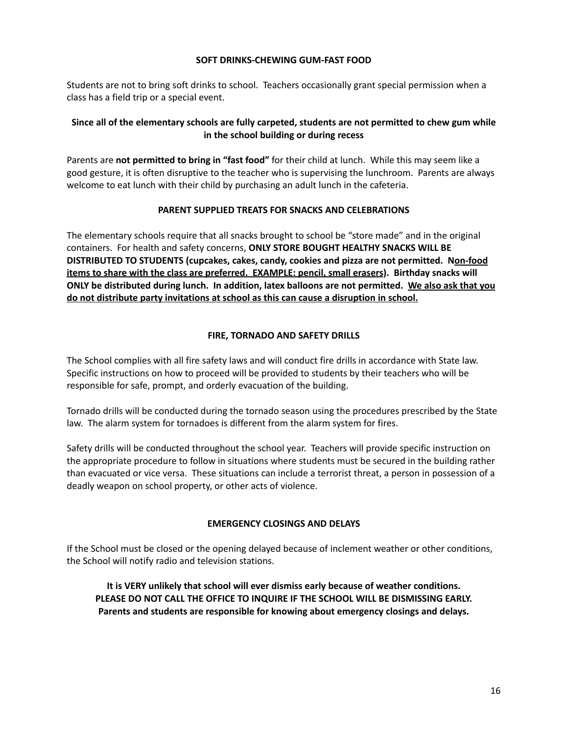#### **SOFT DRINKS-CHEWING GUM-FAST FOOD**

Students are not to bring soft drinks to school. Teachers occasionally grant special permission when a class has a field trip or a special event.

## **Since all of the elementary schools are fully carpeted, students are not permitted to chew gum while in the school building or during recess**

Parents are **not permitted to bring in "fast food"** for their child at lunch. While this may seem like a good gesture, it is often disruptive to the teacher who is supervising the lunchroom. Parents are always welcome to eat lunch with their child by purchasing an adult lunch in the cafeteria.

#### **PARENT SUPPLIED TREATS FOR SNACKS AND CELEBRATIONS**

The elementary schools require that all snacks brought to school be "store made" and in the original containers. For health and safety concerns, **ONLY STORE BOUGHT HEALTHY SNACKS WILL BE DISTRIBUTED TO STUDENTS (cupcakes, cakes, candy, cookies and pizza are not permitted. Non-food items to share with the class are preferred. EXAMPLE: pencil, small erasers). Birthday snacks will ONLY be distributed during lunch. In addition, latex balloons are not permitted. We also ask that you do not distribute party invitations at school as this can cause a disruption in school.**

#### **FIRE, TORNADO AND SAFETY DRILLS**

The School complies with all fire safety laws and will conduct fire drills in accordance with State law. Specific instructions on how to proceed will be provided to students by their teachers who will be responsible for safe, prompt, and orderly evacuation of the building.

Tornado drills will be conducted during the tornado season using the procedures prescribed by the State law. The alarm system for tornadoes is different from the alarm system for fires.

Safety drills will be conducted throughout the school year. Teachers will provide specific instruction on the appropriate procedure to follow in situations where students must be secured in the building rather than evacuated or vice versa. These situations can include a terrorist threat, a person in possession of a deadly weapon on school property, or other acts of violence.

#### **EMERGENCY CLOSINGS AND DELAYS**

If the School must be closed or the opening delayed because of inclement weather or other conditions, the School will notify radio and television stations.

**It is VERY unlikely that school will ever dismiss early because of weather conditions. PLEASE DO NOT CALL THE OFFICE TO INQUIRE IF THE SCHOOL WILL BE DISMISSING EARLY. Parents and students are responsible for knowing about emergency closings and delays.**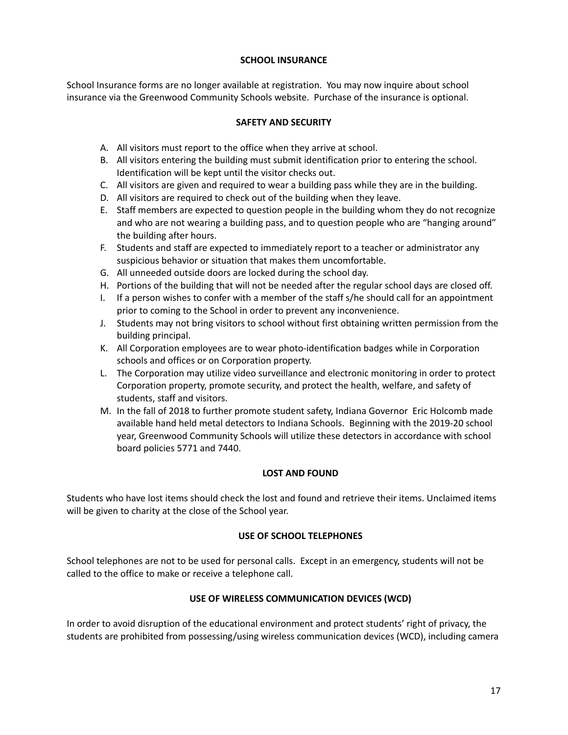#### **SCHOOL INSURANCE**

School Insurance forms are no longer available at registration. You may now inquire about school insurance via the Greenwood Community Schools website. Purchase of the insurance is optional.

## **SAFETY AND SECURITY**

- A. All visitors must report to the office when they arrive at school.
- B. All visitors entering the building must submit identification prior to entering the school. Identification will be kept until the visitor checks out.
- C. All visitors are given and required to wear a building pass while they are in the building.
- D. All visitors are required to check out of the building when they leave.
- E. Staff members are expected to question people in the building whom they do not recognize and who are not wearing a building pass, and to question people who are "hanging around" the building after hours.
- F. Students and staff are expected to immediately report to a teacher or administrator any suspicious behavior or situation that makes them uncomfortable.
- G. All unneeded outside doors are locked during the school day.
- H. Portions of the building that will not be needed after the regular school days are closed off.
- I. If a person wishes to confer with a member of the staff s/he should call for an appointment prior to coming to the School in order to prevent any inconvenience.
- J. Students may not bring visitors to school without first obtaining written permission from the building principal.
- K. All Corporation employees are to wear photo-identification badges while in Corporation schools and offices or on Corporation property.
- L. The Corporation may utilize video surveillance and electronic monitoring in order to protect Corporation property, promote security, and protect the health, welfare, and safety of students, staff and visitors.
- M. In the fall of 2018 to further promote student safety, Indiana Governor Eric Holcomb made available hand held metal detectors to Indiana Schools. Beginning with the 2019-20 school year, Greenwood Community Schools will utilize these detectors in accordance with school board policies 5771 and 7440.

#### **LOST AND FOUND**

Students who have lost items should check the lost and found and retrieve their items. Unclaimed items will be given to charity at the close of the School year.

#### **USE OF SCHOOL TELEPHONES**

School telephones are not to be used for personal calls. Except in an emergency, students will not be called to the office to make or receive a telephone call.

#### **USE OF WIRELESS COMMUNICATION DEVICES (WCD)**

In order to avoid disruption of the educational environment and protect students' right of privacy, the students are prohibited from possessing/using wireless communication devices (WCD), including camera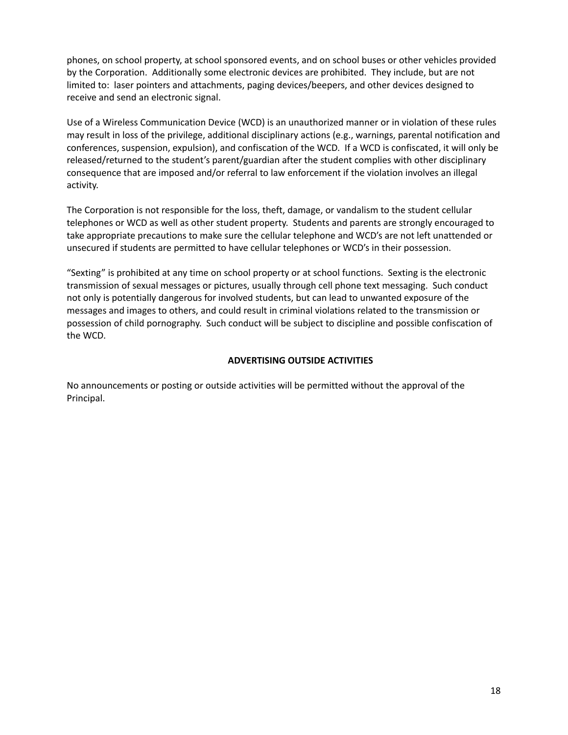phones, on school property, at school sponsored events, and on school buses or other vehicles provided by the Corporation. Additionally some electronic devices are prohibited. They include, but are not limited to: laser pointers and attachments, paging devices/beepers, and other devices designed to receive and send an electronic signal.

Use of a Wireless Communication Device (WCD) is an unauthorized manner or in violation of these rules may result in loss of the privilege, additional disciplinary actions (e.g., warnings, parental notification and conferences, suspension, expulsion), and confiscation of the WCD. If a WCD is confiscated, it will only be released/returned to the student's parent/guardian after the student complies with other disciplinary consequence that are imposed and/or referral to law enforcement if the violation involves an illegal activity.

The Corporation is not responsible for the loss, theft, damage, or vandalism to the student cellular telephones or WCD as well as other student property. Students and parents are strongly encouraged to take appropriate precautions to make sure the cellular telephone and WCD's are not left unattended or unsecured if students are permitted to have cellular telephones or WCD's in their possession.

"Sexting" is prohibited at any time on school property or at school functions. Sexting is the electronic transmission of sexual messages or pictures, usually through cell phone text messaging. Such conduct not only is potentially dangerous for involved students, but can lead to unwanted exposure of the messages and images to others, and could result in criminal violations related to the transmission or possession of child pornography. Such conduct will be subject to discipline and possible confiscation of the WCD.

## **ADVERTISING OUTSIDE ACTIVITIES**

No announcements or posting or outside activities will be permitted without the approval of the Principal.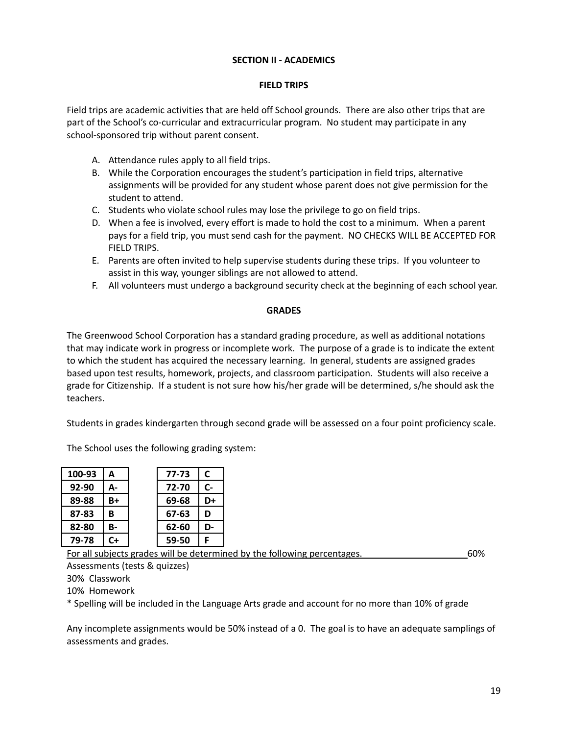#### **SECTION II - ACADEMICS**

#### **FIELD TRIPS**

Field trips are academic activities that are held off School grounds. There are also other trips that are part of the School's co-curricular and extracurricular program. No student may participate in any school-sponsored trip without parent consent.

- A. Attendance rules apply to all field trips.
- B. While the Corporation encourages the student's participation in field trips, alternative assignments will be provided for any student whose parent does not give permission for the student to attend.
- C. Students who violate school rules may lose the privilege to go on field trips.
- D. When a fee is involved, every effort is made to hold the cost to a minimum. When a parent pays for a field trip, you must send cash for the payment. NO CHECKS WILL BE ACCEPTED FOR FIELD TRIPS.
- E. Parents are often invited to help supervise students during these trips. If you volunteer to assist in this way, younger siblings are not allowed to attend.
- F. All volunteers must undergo a background security check at the beginning of each school year.

#### **GRADES**

The Greenwood School Corporation has a standard grading procedure, as well as additional notations that may indicate work in progress or incomplete work. The purpose of a grade is to indicate the extent to which the student has acquired the necessary learning. In general, students are assigned grades based upon test results, homework, projects, and classroom participation. Students will also receive a grade for Citizenship. If a student is not sure how his/her grade will be determined, s/he should ask the teachers.

Students in grades kindergarten through second grade will be assessed on a four point proficiency scale.

The School uses the following grading system:

| 100-93    | А  | 77-73 | C    |
|-----------|----|-------|------|
| $92 - 90$ | А- | 72-70 | $c-$ |
| 89-88     | B+ | 69-68 | D+   |
| 87-83     | в  | 67-63 | D    |
| 82-80     | В- | 62-60 | D-   |
| 79-78     | C+ | 59-50 | F    |

For all subjects grades will be determined by the following percentages. 60%

Assessments (tests & quizzes)

30% Classwork

10% Homework

\* Spelling will be included in the Language Arts grade and account for no more than 10% of grade

Any incomplete assignments would be 50% instead of a 0. The goal is to have an adequate samplings of assessments and grades.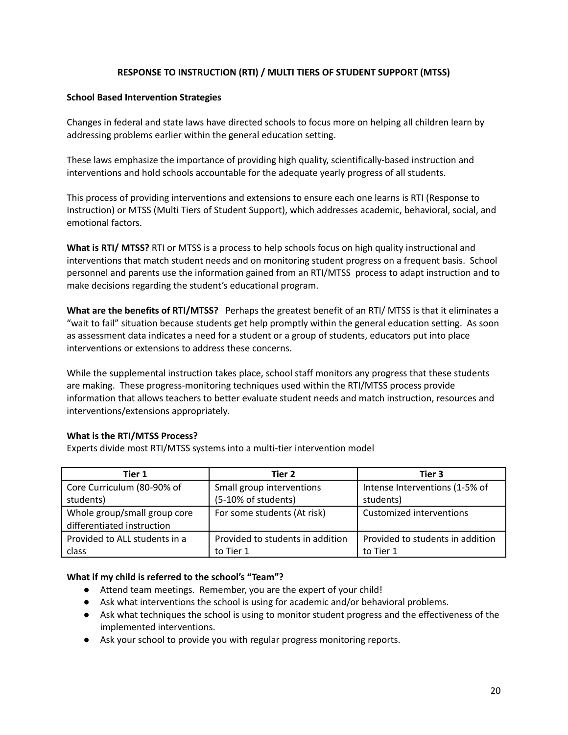## **RESPONSE TO INSTRUCTION (RTI) / MULTI TIERS OF STUDENT SUPPORT (MTSS)**

#### **School Based Intervention Strategies**

Changes in federal and state laws have directed schools to focus more on helping all children learn by addressing problems earlier within the general education setting.

These laws emphasize the importance of providing high quality, scientifically-based instruction and interventions and hold schools accountable for the adequate yearly progress of all students.

This process of providing interventions and extensions to ensure each one learns is RTI (Response to Instruction) or MTSS (Multi Tiers of Student Support), which addresses academic, behavioral, social, and emotional factors.

**What is RTI/ MTSS?** RTI or MTSS is a process to help schools focus on high quality instructional and interventions that match student needs and on monitoring student progress on a frequent basis. School personnel and parents use the information gained from an RTI/MTSS process to adapt instruction and to make decisions regarding the student's educational program.

**What are the benefits of RTI/MTSS?** Perhaps the greatest benefit of an RTI/ MTSS is that it eliminates a "wait to fail" situation because students get help promptly within the general education setting. As soon as assessment data indicates a need for a student or a group of students, educators put into place interventions or extensions to address these concerns.

While the supplemental instruction takes place, school staff monitors any progress that these students are making. These progress-monitoring techniques used within the RTI/MTSS process provide information that allows teachers to better evaluate student needs and match instruction, resources and interventions/extensions appropriately.

#### **What is the RTI/MTSS Process?**

Experts divide most RTI/MTSS systems into a multi-tier intervention model

| Tier 1                        | Tier 2                           | Tier 3                           |
|-------------------------------|----------------------------------|----------------------------------|
| Core Curriculum (80-90% of    | Small group interventions        | Intense Interventions (1-5% of   |
| students)                     | (5-10% of students)              | students)                        |
| Whole group/small group core  | For some students (At risk)      | Customized interventions         |
| differentiated instruction    |                                  |                                  |
| Provided to ALL students in a | Provided to students in addition | Provided to students in addition |
| class                         | to Tier 1                        | to Tier 1                        |

#### **What if my child is referred to the school's "Team"?**

- Attend team meetings. Remember, you are the expert of your child!
- Ask what interventions the school is using for academic and/or behavioral problems.
- Ask what techniques the school is using to monitor student progress and the effectiveness of the implemented interventions.
- Ask your school to provide you with regular progress monitoring reports.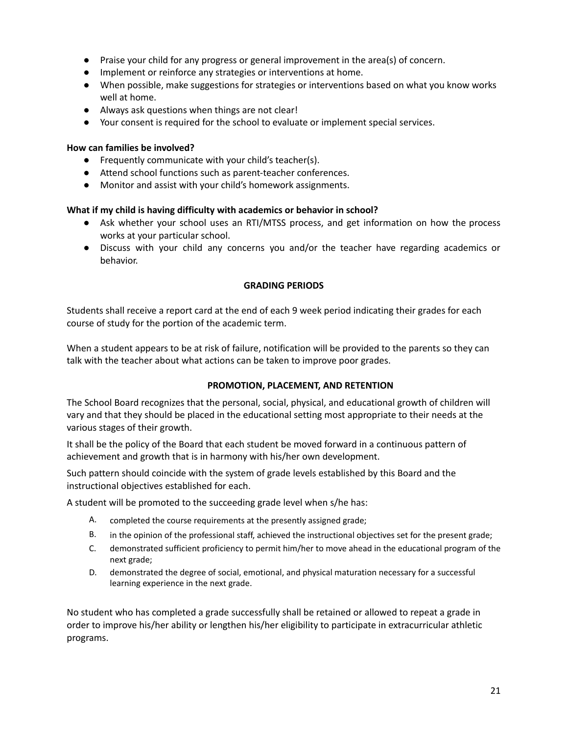- Praise your child for any progress or general improvement in the area(s) of concern.
- Implement or reinforce any strategies or interventions at home.
- When possible, make suggestions for strategies or interventions based on what you know works well at home.
- Always ask questions when things are not clear!
- Your consent is required for the school to evaluate or implement special services.

#### **How can families be involved?**

- Frequently communicate with your child's teacher(s).
- Attend school functions such as parent-teacher conferences.
- Monitor and assist with your child's homework assignments.

#### **What if my child is having difficulty with academics or behavior in school?**

- Ask whether your school uses an RTI/MTSS process, and get information on how the process works at your particular school.
- Discuss with your child any concerns you and/or the teacher have regarding academics or behavior.

## **GRADING PERIODS**

Students shall receive a report card at the end of each 9 week period indicating their grades for each course of study for the portion of the academic term.

When a student appears to be at risk of failure, notification will be provided to the parents so they can talk with the teacher about what actions can be taken to improve poor grades.

#### **PROMOTION, PLACEMENT, AND RETENTION**

The School Board recognizes that the personal, social, physical, and educational growth of children will vary and that they should be placed in the educational setting most appropriate to their needs at the various stages of their growth.

It shall be the policy of the Board that each student be moved forward in a continuous pattern of achievement and growth that is in harmony with his/her own development.

Such pattern should coincide with the system of grade levels established by this Board and the instructional objectives established for each.

A student will be promoted to the succeeding grade level when s/he has:

- A. completed the course requirements at the presently assigned grade;
- B. in the opinion of the professional staff, achieved the instructional objectives set for the present grade;
- C. demonstrated sufficient proficiency to permit him/her to move ahead in the educational program of the next grade;
- D. demonstrated the degree of social, emotional, and physical maturation necessary for a successful learning experience in the next grade.

No student who has completed a grade successfully shall be retained or allowed to repeat a grade in order to improve his/her ability or lengthen his/her eligibility to participate in extracurricular athletic programs.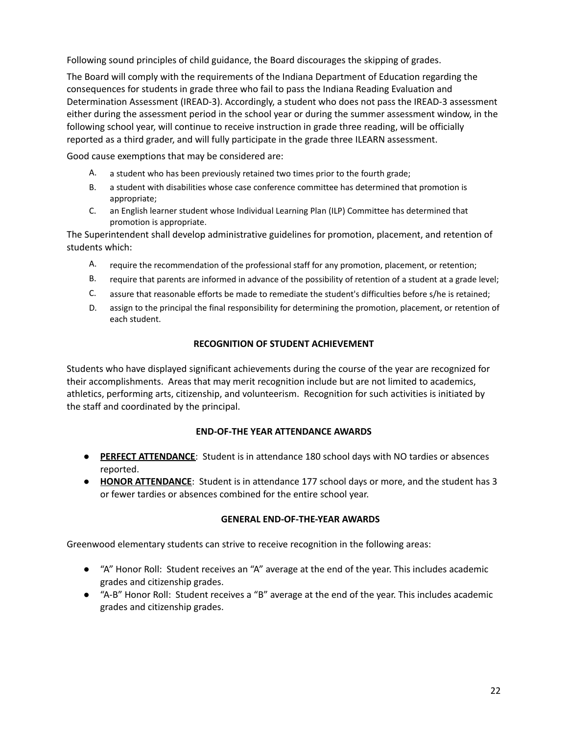Following sound principles of child guidance, the Board discourages the skipping of grades.

The Board will comply with the requirements of the Indiana Department of Education regarding the consequences for students in grade three who fail to pass the Indiana Reading Evaluation and Determination Assessment (IREAD-3). Accordingly, a student who does not pass the IREAD-3 assessment either during the assessment period in the school year or during the summer assessment window, in the following school year, will continue to receive instruction in grade three reading, will be officially reported as a third grader, and will fully participate in the grade three ILEARN assessment.

Good cause exemptions that may be considered are:

- A. a student who has been previously retained two times prior to the fourth grade;
- B. a student with disabilities whose case conference committee has determined that promotion is appropriate;
- C. an English learner student whose Individual Learning Plan (ILP) Committee has determined that promotion is appropriate.

The Superintendent shall develop administrative guidelines for promotion, placement, and retention of students which:

- A. require the recommendation of the professional staff for any promotion, placement, or retention;
- B. require that parents are informed in advance of the possibility of retention of a student at a grade level;
- C. assure that reasonable efforts be made to remediate the student's difficulties before s/he is retained;
- D. assign to the principal the final responsibility for determining the promotion, placement, or retention of each student.

#### **RECOGNITION OF STUDENT ACHIEVEMENT**

Students who have displayed significant achievements during the course of the year are recognized for their accomplishments. Areas that may merit recognition include but are not limited to academics, athletics, performing arts, citizenship, and volunteerism. Recognition for such activities is initiated by the staff and coordinated by the principal.

#### **END-OF-THE YEAR ATTENDANCE AWARDS**

- **PERFECT ATTENDANCE**: Student is in attendance 180 school days with NO tardies or absences reported.
- **HONOR ATTENDANCE**: Student is in attendance 177 school days or more, and the student has 3 or fewer tardies or absences combined for the entire school year.

#### **GENERAL END-OF-THE-YEAR AWARDS**

Greenwood elementary students can strive to receive recognition in the following areas:

- "A" Honor Roll: Student receives an "A" average at the end of the year. This includes academic grades and citizenship grades.
- "A-B" Honor Roll: Student receives a "B" average at the end of the year. This includes academic grades and citizenship grades.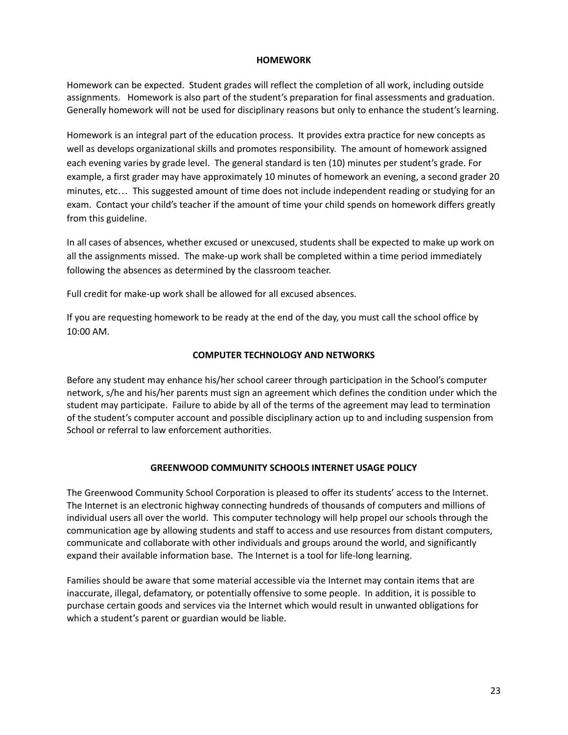#### **HOMEWORK**

Homework can be expected. Student grades will reflect the completion of all work, including outside assignments. Homework is also part of the student's preparation for final assessments and graduation. Generally homework will not be used for disciplinary reasons but only to enhance the student's learning.

Homework is an integral part of the education process. It provides extra practice for new concepts as well as develops organizational skills and promotes responsibility. The amount of homework assigned each evening varies by grade level. The general standard is ten (10) minutes per student's grade. For example, a first grader may have approximately 10 minutes of homework an evening, a second grader 20 minutes, etc… This suggested amount of time does not include independent reading or studying for an exam. Contact your child's teacher if the amount of time your child spends on homework differs greatly from this guideline.

In all cases of absences, whether excused or unexcused, students shall be expected to make up work on all the assignments missed. The make-up work shall be completed within a time period immediately following the absences as determined by the classroom teacher.

Full credit for make-up work shall be allowed for all excused absences.

If you are requesting homework to be ready at the end of the day, you must call the school office by 10:00 AM.

#### **COMPUTER TECHNOLOGY AND NETWORKS**

Before any student may enhance his/her school career through participation in the School's computer network, s/he and his/her parents must sign an agreement which defines the condition under which the student may participate. Failure to abide by all of the terms of the agreement may lead to termination of the student's computer account and possible disciplinary action up to and including suspension from School or referral to law enforcement authorities.

#### **GREENWOOD COMMUNITY SCHOOLS INTERNET USAGE POLICY**

The Greenwood Community School Corporation is pleased to offer its students' access to the Internet. The Internet is an electronic highway connecting hundreds of thousands of computers and millions of individual users all over the world. This computer technology will help propel our schools through the communication age by allowing students and staff to access and use resources from distant computers, communicate and collaborate with other individuals and groups around the world, and significantly expand their available information base. The Internet is a tool for life-long learning.

Families should be aware that some material accessible via the Internet may contain items that are inaccurate, illegal, defamatory, or potentially offensive to some people. In addition, it is possible to purchase certain goods and services via the Internet which would result in unwanted obligations for which a student's parent or guardian would be liable.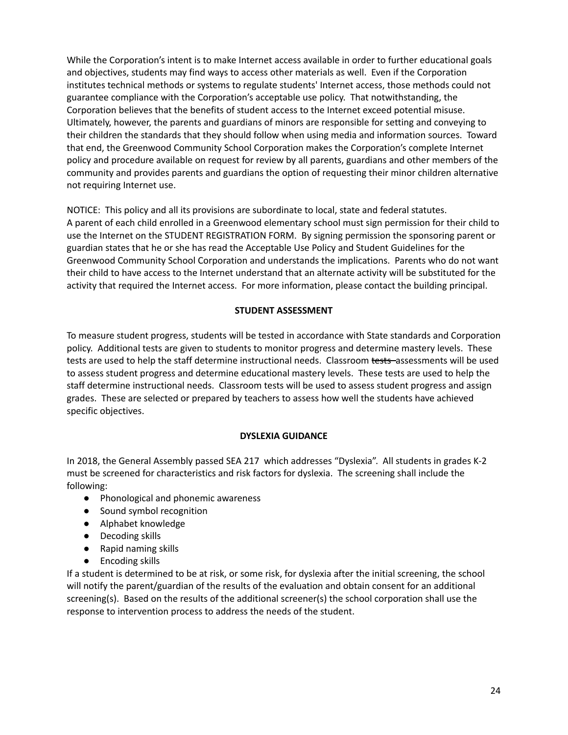While the Corporation's intent is to make Internet access available in order to further educational goals and objectives, students may find ways to access other materials as well. Even if the Corporation institutes technical methods or systems to regulate students' Internet access, those methods could not guarantee compliance with the Corporation's acceptable use policy. That notwithstanding, the Corporation believes that the benefits of student access to the Internet exceed potential misuse. Ultimately, however, the parents and guardians of minors are responsible for setting and conveying to their children the standards that they should follow when using media and information sources. Toward that end, the Greenwood Community School Corporation makes the Corporation's complete Internet policy and procedure available on request for review by all parents, guardians and other members of the community and provides parents and guardians the option of requesting their minor children alternative not requiring Internet use.

NOTICE: This policy and all its provisions are subordinate to local, state and federal statutes. A parent of each child enrolled in a Greenwood elementary school must sign permission for their child to use the Internet on the STUDENT REGISTRATION FORM. By signing permission the sponsoring parent or guardian states that he or she has read the Acceptable Use Policy and Student Guidelines for the Greenwood Community School Corporation and understands the implications. Parents who do not want their child to have access to the Internet understand that an alternate activity will be substituted for the activity that required the Internet access. For more information, please contact the building principal.

## **STUDENT ASSESSMENT**

To measure student progress, students will be tested in accordance with State standards and Corporation policy. Additional tests are given to students to monitor progress and determine mastery levels. These tests are used to help the staff determine instructional needs. Classroom tests assessments will be used to assess student progress and determine educational mastery levels. These tests are used to help the staff determine instructional needs. Classroom tests will be used to assess student progress and assign grades. These are selected or prepared by teachers to assess how well the students have achieved specific objectives.

#### **DYSLEXIA GUIDANCE**

In 2018, the General Assembly passed SEA 217 which addresses "Dyslexia". All students in grades K-2 must be screened for characteristics and risk factors for dyslexia. The screening shall include the following:

- Phonological and phonemic awareness
- Sound symbol recognition
- Alphabet knowledge
- Decoding skills
- Rapid naming skills
- Encoding skills

If a student is determined to be at risk, or some risk, for dyslexia after the initial screening, the school will notify the parent/guardian of the results of the evaluation and obtain consent for an additional screening(s). Based on the results of the additional screener(s) the school corporation shall use the response to intervention process to address the needs of the student.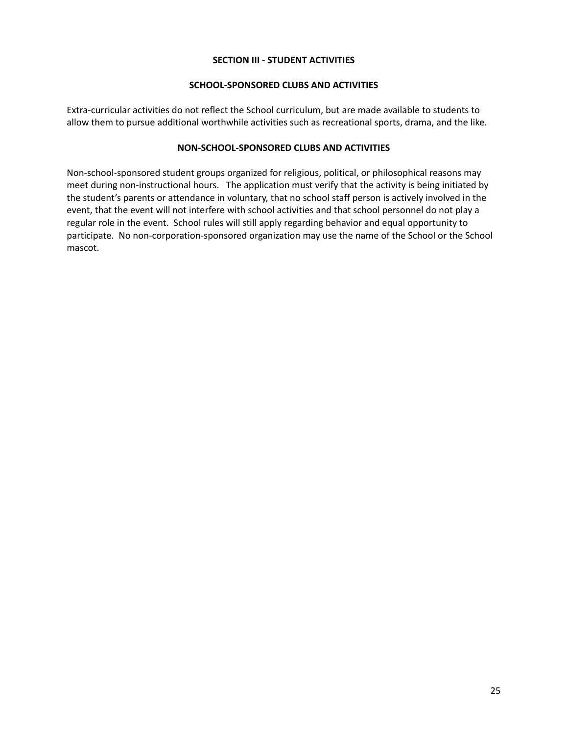#### **SECTION III - STUDENT ACTIVITIES**

#### **SCHOOL-SPONSORED CLUBS AND ACTIVITIES**

Extra-curricular activities do not reflect the School curriculum, but are made available to students to allow them to pursue additional worthwhile activities such as recreational sports, drama, and the like.

#### **NON-SCHOOL-SPONSORED CLUBS AND ACTIVITIES**

Non-school-sponsored student groups organized for religious, political, or philosophical reasons may meet during non-instructional hours. The application must verify that the activity is being initiated by the student's parents or attendance in voluntary, that no school staff person is actively involved in the event, that the event will not interfere with school activities and that school personnel do not play a regular role in the event. School rules will still apply regarding behavior and equal opportunity to participate. No non-corporation-sponsored organization may use the name of the School or the School mascot.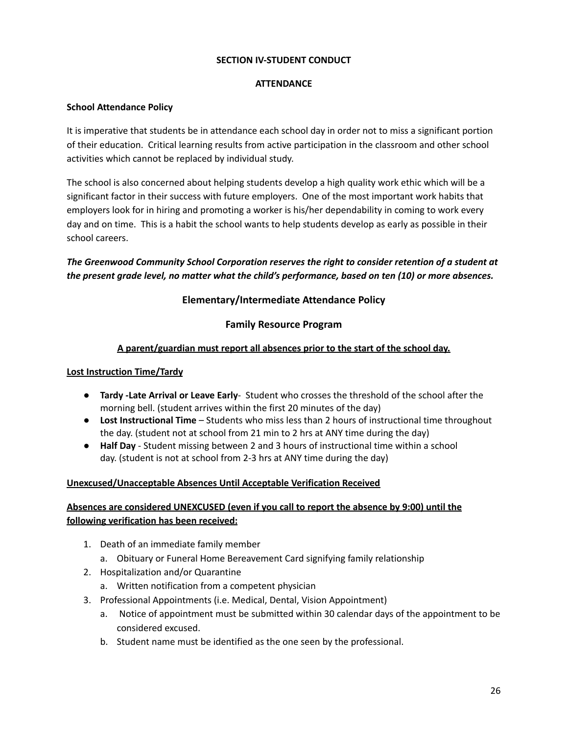#### **SECTION IV-STUDENT CONDUCT**

## **ATTENDANCE**

## **School Attendance Policy**

It is imperative that students be in attendance each school day in order not to miss a significant portion of their education. Critical learning results from active participation in the classroom and other school activities which cannot be replaced by individual study.

The school is also concerned about helping students develop a high quality work ethic which will be a significant factor in their success with future employers. One of the most important work habits that employers look for in hiring and promoting a worker is his/her dependability in coming to work every day and on time. This is a habit the school wants to help students develop as early as possible in their school careers.

## *The Greenwood Community School Corporation reserves the right to consider retention of a student at the present grade level, no matter what the child's performance, based on ten (10) or more absences.*

## **Elementary/Intermediate Attendance Policy**

## **Family Resource Program**

## **A parent/guardian must report all absences prior to the start of the school day.**

## **Lost Instruction Time/Tardy**

- **Tardy -Late Arrival or Leave Early** Student who crosses the threshold of the school after the morning bell. (student arrives within the first 20 minutes of the day)
- **Lost Instructional Time** Students who miss less than 2 hours of instructional time throughout the day. (student not at school from 21 min to 2 hrs at ANY time during the day)
- **Half Day** Student missing between 2 and 3 hours of instructional time within a school day. (student is not at school from 2-3 hrs at ANY time during the day)

## **Unexcused/Unacceptable Absences Until Acceptable Verification Received**

## **Absences are considered UNEXCUSED (even if you call to report the absence by 9:00) until the following verification has been received:**

- 1. Death of an immediate family member
	- a. Obituary or Funeral Home Bereavement Card signifying family relationship
- 2. Hospitalization and/or Quarantine
	- a. Written notification from a competent physician
- 3. Professional Appointments (i.e. Medical, Dental, Vision Appointment)
	- a. Notice of appointment must be submitted within 30 calendar days of the appointment to be considered excused.
	- b. Student name must be identified as the one seen by the professional.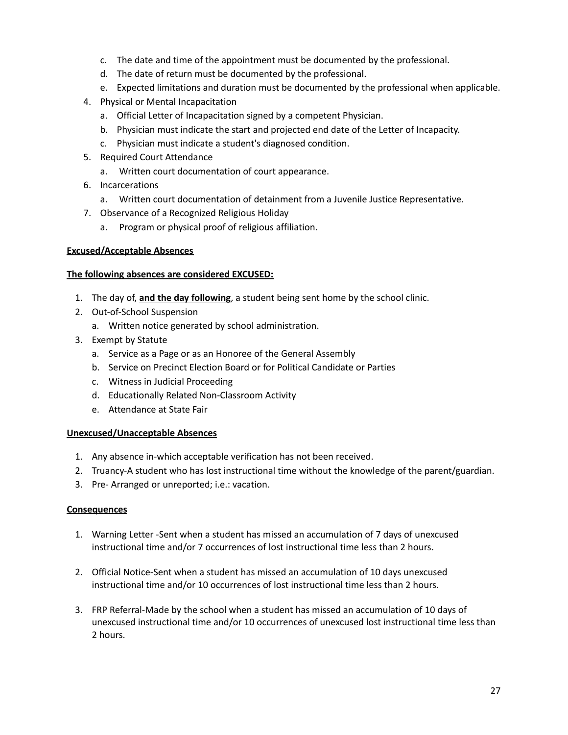- c. The date and time of the appointment must be documented by the professional.
- d. The date of return must be documented by the professional.
- e. Expected limitations and duration must be documented by the professional when applicable.
- 4. Physical or Mental Incapacitation
	- a. Official Letter of Incapacitation signed by a competent Physician.
	- b. Physician must indicate the start and projected end date of the Letter of Incapacity.
	- c. Physician must indicate a student's diagnosed condition.
- 5. Required Court Attendance
	- a. Written court documentation of court appearance.
- 6. Incarcerations
	- a. Written court documentation of detainment from a Juvenile Justice Representative.
- 7. Observance of a Recognized Religious Holiday
	- a. Program or physical proof of religious affiliation.

#### **Excused/Acceptable Absences**

#### **The following absences are considered EXCUSED:**

- 1. The day of, **and the day following**, a student being sent home by the school clinic.
- 2. Out-of-School Suspension
	- a. Written notice generated by school administration.
- 3. Exempt by Statute
	- a. Service as a Page or as an Honoree of the General Assembly
	- b. Service on Precinct Election Board or for Political Candidate or Parties
	- c. Witness in Judicial Proceeding
	- d. Educationally Related Non-Classroom Activity
	- e. Attendance at State Fair

#### **Unexcused/Unacceptable Absences**

- 1. Any absence in-which acceptable verification has not been received.
- 2. Truancy-A student who has lost instructional time without the knowledge of the parent/guardian.
- 3. Pre- Arranged or unreported; i.e.: vacation.

#### **Consequences**

- 1. Warning Letter -Sent when a student has missed an accumulation of 7 days of unexcused instructional time and/or 7 occurrences of lost instructional time less than 2 hours.
- 2. Official Notice-Sent when a student has missed an accumulation of 10 days unexcused instructional time and/or 10 occurrences of lost instructional time less than 2 hours.
- 3. FRP Referral-Made by the school when a student has missed an accumulation of 10 days of unexcused instructional time and/or 10 occurrences of unexcused lost instructional time less than 2 hours.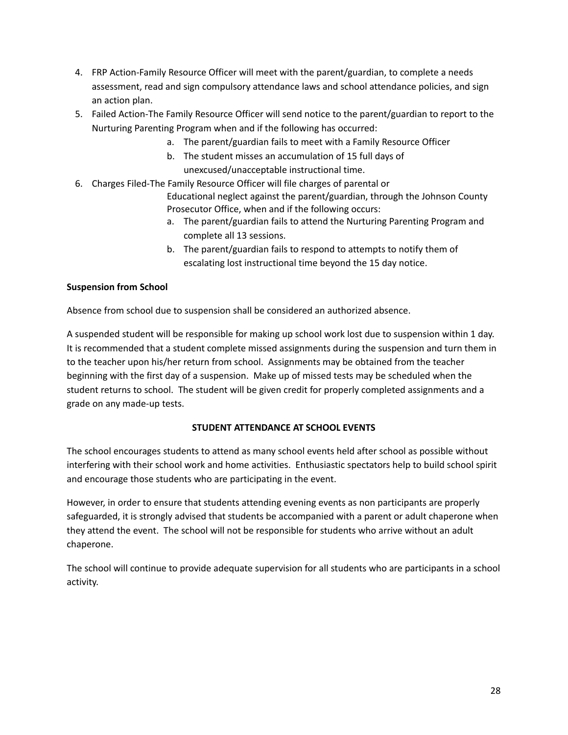- 4. FRP Action-Family Resource Officer will meet with the parent/guardian, to complete a needs assessment, read and sign compulsory attendance laws and school attendance policies, and sign an action plan.
- 5. Failed Action-The Family Resource Officer will send notice to the parent/guardian to report to the Nurturing Parenting Program when and if the following has occurred:
	- a. The parent/guardian fails to meet with a Family Resource Officer
	- b. The student misses an accumulation of 15 full days of unexcused/unacceptable instructional time.
- 6. Charges Filed-The Family Resource Officer will file charges of parental or

Educational neglect against the parent/guardian, through the Johnson County Prosecutor Office, when and if the following occurs:

- a. The parent/guardian fails to attend the Nurturing Parenting Program and complete all 13 sessions.
- b. The parent/guardian fails to respond to attempts to notify them of escalating lost instructional time beyond the 15 day notice.

## **Suspension from School**

Absence from school due to suspension shall be considered an authorized absence.

A suspended student will be responsible for making up school work lost due to suspension within 1 day. It is recommended that a student complete missed assignments during the suspension and turn them in to the teacher upon his/her return from school. Assignments may be obtained from the teacher beginning with the first day of a suspension. Make up of missed tests may be scheduled when the student returns to school. The student will be given credit for properly completed assignments and a grade on any made-up tests.

## **STUDENT ATTENDANCE AT SCHOOL EVENTS**

The school encourages students to attend as many school events held after school as possible without interfering with their school work and home activities. Enthusiastic spectators help to build school spirit and encourage those students who are participating in the event.

However, in order to ensure that students attending evening events as non participants are properly safeguarded, it is strongly advised that students be accompanied with a parent or adult chaperone when they attend the event. The school will not be responsible for students who arrive without an adult chaperone.

The school will continue to provide adequate supervision for all students who are participants in a school activity.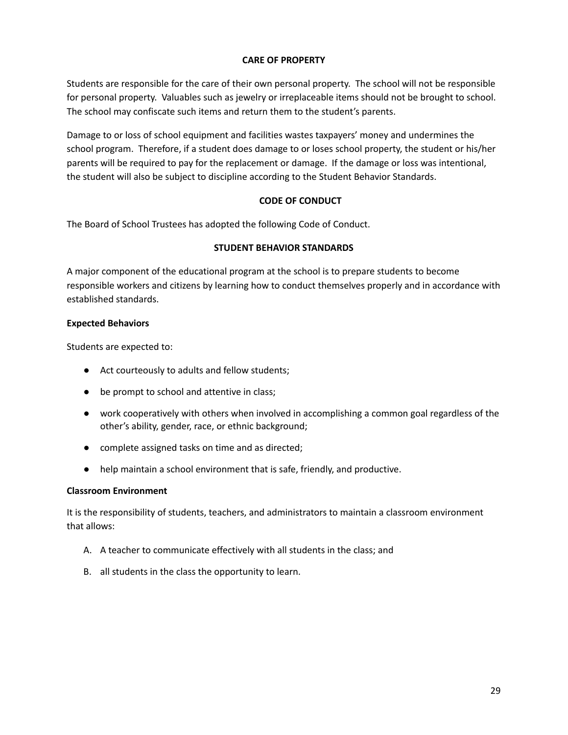#### **CARE OF PROPERTY**

Students are responsible for the care of their own personal property. The school will not be responsible for personal property. Valuables such as jewelry or irreplaceable items should not be brought to school. The school may confiscate such items and return them to the student's parents.

Damage to or loss of school equipment and facilities wastes taxpayers' money and undermines the school program. Therefore, if a student does damage to or loses school property, the student or his/her parents will be required to pay for the replacement or damage. If the damage or loss was intentional, the student will also be subject to discipline according to the Student Behavior Standards.

## **CODE OF CONDUCT**

The Board of School Trustees has adopted the following Code of Conduct.

## **STUDENT BEHAVIOR STANDARDS**

A major component of the educational program at the school is to prepare students to become responsible workers and citizens by learning how to conduct themselves properly and in accordance with established standards.

## **Expected Behaviors**

Students are expected to:

- Act courteously to adults and fellow students;
- be prompt to school and attentive in class;
- work cooperatively with others when involved in accomplishing a common goal regardless of the other's ability, gender, race, or ethnic background;
- complete assigned tasks on time and as directed;
- help maintain a school environment that is safe, friendly, and productive.

#### **Classroom Environment**

It is the responsibility of students, teachers, and administrators to maintain a classroom environment that allows:

- A. A teacher to communicate effectively with all students in the class; and
- B. all students in the class the opportunity to learn.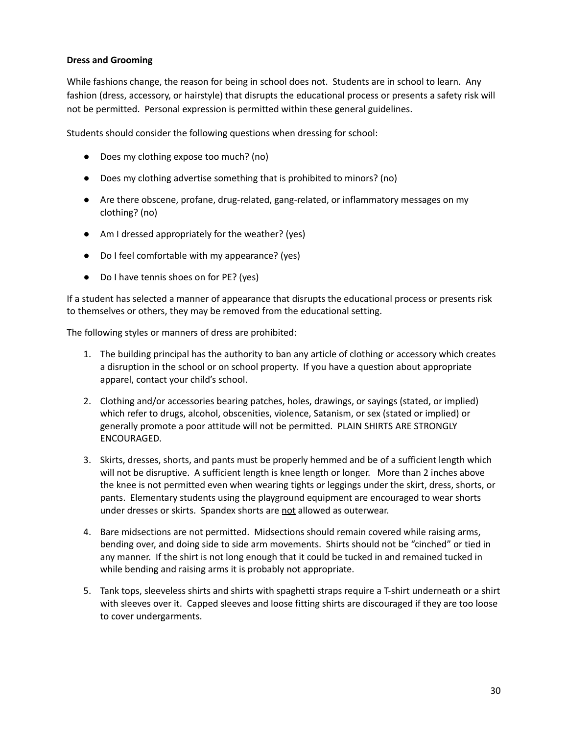## **Dress and Grooming**

While fashions change, the reason for being in school does not. Students are in school to learn. Any fashion (dress, accessory, or hairstyle) that disrupts the educational process or presents a safety risk will not be permitted. Personal expression is permitted within these general guidelines.

Students should consider the following questions when dressing for school:

- Does my clothing expose too much? (no)
- Does my clothing advertise something that is prohibited to minors? (no)
- Are there obscene, profane, drug-related, gang-related, or inflammatory messages on my clothing? (no)
- Am I dressed appropriately for the weather? (yes)
- Do I feel comfortable with my appearance? (yes)
- Do I have tennis shoes on for PE? (yes)

If a student has selected a manner of appearance that disrupts the educational process or presents risk to themselves or others, they may be removed from the educational setting.

The following styles or manners of dress are prohibited:

- 1. The building principal has the authority to ban any article of clothing or accessory which creates a disruption in the school or on school property. If you have a question about appropriate apparel, contact your child's school.
- 2. Clothing and/or accessories bearing patches, holes, drawings, or sayings (stated, or implied) which refer to drugs, alcohol, obscenities, violence, Satanism, or sex (stated or implied) or generally promote a poor attitude will not be permitted. PLAIN SHIRTS ARE STRONGLY ENCOURAGED.
- 3. Skirts, dresses, shorts, and pants must be properly hemmed and be of a sufficient length which will not be disruptive. A sufficient length is knee length or longer. More than 2 inches above the knee is not permitted even when wearing tights or leggings under the skirt, dress, shorts, or pants. Elementary students using the playground equipment are encouraged to wear shorts under dresses or skirts. Spandex shorts are not allowed as outerwear.
- 4. Bare midsections are not permitted. Midsections should remain covered while raising arms, bending over, and doing side to side arm movements. Shirts should not be "cinched" or tied in any manner. If the shirt is not long enough that it could be tucked in and remained tucked in while bending and raising arms it is probably not appropriate.
- 5. Tank tops, sleeveless shirts and shirts with spaghetti straps require a T-shirt underneath or a shirt with sleeves over it. Capped sleeves and loose fitting shirts are discouraged if they are too loose to cover undergarments.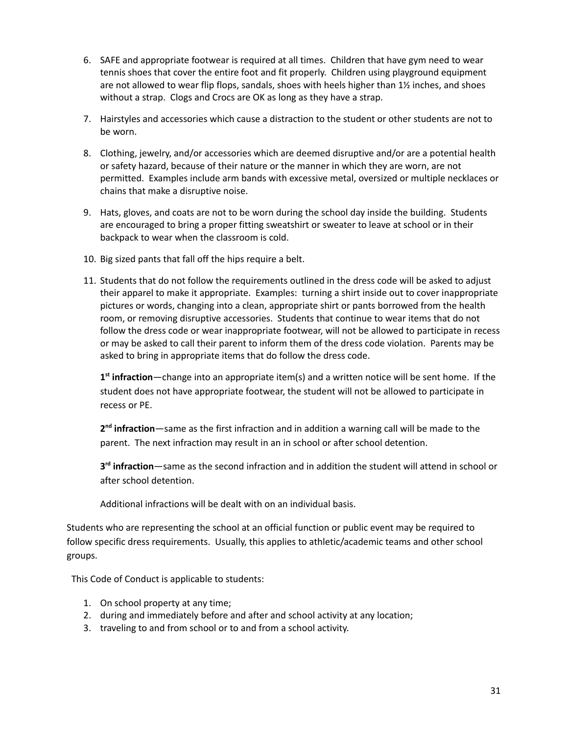- 6. SAFE and appropriate footwear is required at all times. Children that have gym need to wear tennis shoes that cover the entire foot and fit properly. Children using playground equipment are not allowed to wear flip flops, sandals, shoes with heels higher than 1½ inches, and shoes without a strap. Clogs and Crocs are OK as long as they have a strap.
- 7. Hairstyles and accessories which cause a distraction to the student or other students are not to be worn.
- 8. Clothing, jewelry, and/or accessories which are deemed disruptive and/or are a potential health or safety hazard, because of their nature or the manner in which they are worn, are not permitted. Examples include arm bands with excessive metal, oversized or multiple necklaces or chains that make a disruptive noise.
- 9. Hats, gloves, and coats are not to be worn during the school day inside the building. Students are encouraged to bring a proper fitting sweatshirt or sweater to leave at school or in their backpack to wear when the classroom is cold.
- 10. Big sized pants that fall off the hips require a belt.
- 11. Students that do not follow the requirements outlined in the dress code will be asked to adjust their apparel to make it appropriate. Examples: turning a shirt inside out to cover inappropriate pictures or words, changing into a clean, appropriate shirt or pants borrowed from the health room, or removing disruptive accessories. Students that continue to wear items that do not follow the dress code or wear inappropriate footwear, will not be allowed to participate in recess or may be asked to call their parent to inform them of the dress code violation. Parents may be asked to bring in appropriate items that do follow the dress code.

**1 st infraction**—change into an appropriate item(s) and a written notice will be sent home. If the student does not have appropriate footwear, the student will not be allowed to participate in recess or PE.

**2 nd infraction**—same as the first infraction and in addition a warning call will be made to the parent. The next infraction may result in an in school or after school detention.

**3 rd infraction**—same as the second infraction and in addition the student will attend in school or after school detention.

Additional infractions will be dealt with on an individual basis.

Students who are representing the school at an official function or public event may be required to follow specific dress requirements. Usually, this applies to athletic/academic teams and other school groups.

This Code of Conduct is applicable to students:

- 1. On school property at any time;
- 2. during and immediately before and after and school activity at any location;
- 3. traveling to and from school or to and from a school activity.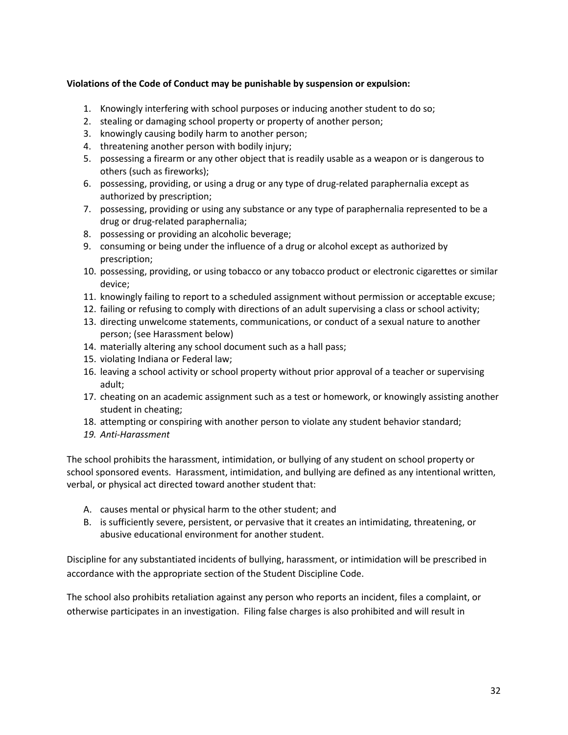## **Violations of the Code of Conduct may be punishable by suspension or expulsion:**

- 1. Knowingly interfering with school purposes or inducing another student to do so;
- 2. stealing or damaging school property or property of another person;
- 3. knowingly causing bodily harm to another person;
- 4. threatening another person with bodily injury;
- 5. possessing a firearm or any other object that is readily usable as a weapon or is dangerous to others (such as fireworks);
- 6. possessing, providing, or using a drug or any type of drug-related paraphernalia except as authorized by prescription;
- 7. possessing, providing or using any substance or any type of paraphernalia represented to be a drug or drug-related paraphernalia;
- 8. possessing or providing an alcoholic beverage;
- 9. consuming or being under the influence of a drug or alcohol except as authorized by prescription;
- 10. possessing, providing, or using tobacco or any tobacco product or electronic cigarettes or similar device;
- 11. knowingly failing to report to a scheduled assignment without permission or acceptable excuse;
- 12. failing or refusing to comply with directions of an adult supervising a class or school activity;
- 13. directing unwelcome statements, communications, or conduct of a sexual nature to another person; (see Harassment below)
- 14. materially altering any school document such as a hall pass;
- 15. violating Indiana or Federal law;
- 16. leaving a school activity or school property without prior approval of a teacher or supervising adult;
- 17. cheating on an academic assignment such as a test or homework, or knowingly assisting another student in cheating;
- 18. attempting or conspiring with another person to violate any student behavior standard;
- *19. Anti-Harassment*

The school prohibits the harassment, intimidation, or bullying of any student on school property or school sponsored events. Harassment, intimidation, and bullying are defined as any intentional written, verbal, or physical act directed toward another student that:

- A. causes mental or physical harm to the other student; and
- B. is sufficiently severe, persistent, or pervasive that it creates an intimidating, threatening, or abusive educational environment for another student.

Discipline for any substantiated incidents of bullying, harassment, or intimidation will be prescribed in accordance with the appropriate section of the Student Discipline Code.

The school also prohibits retaliation against any person who reports an incident, files a complaint, or otherwise participates in an investigation. Filing false charges is also prohibited and will result in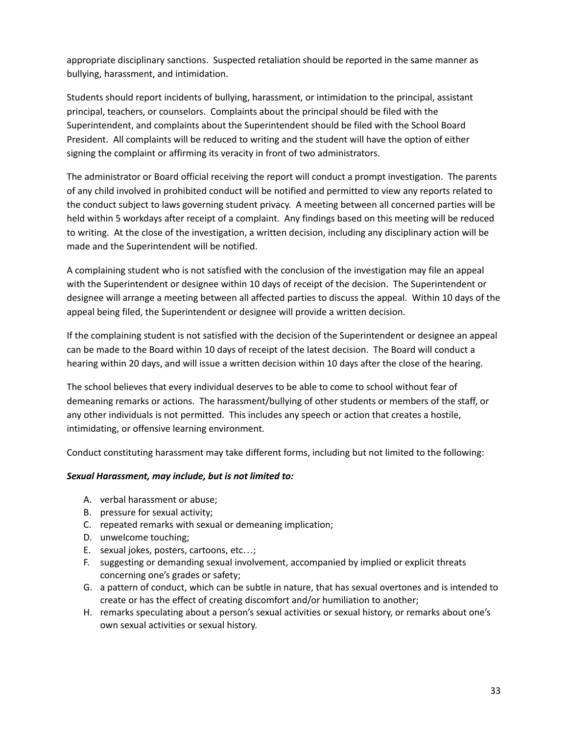appropriate disciplinary sanctions. Suspected retaliation should be reported in the same manner as bullying, harassment, and intimidation.

Students should report incidents of bullying, harassment, or intimidation to the principal, assistant principal, teachers, or counselors. Complaints about the principal should be filed with the Superintendent, and complaints about the Superintendent should be filed with the School Board President. All complaints will be reduced to writing and the student will have the option of either signing the complaint or affirming its veracity in front of two administrators.

The administrator or Board official receiving the report will conduct a prompt investigation. The parents of any child involved in prohibited conduct will be notified and permitted to view any reports related to the conduct subject to laws governing student privacy. A meeting between all concerned parties will be held within 5 workdays after receipt of a complaint. Any findings based on this meeting will be reduced to writing. At the close of the investigation, a written decision, including any disciplinary action will be made and the Superintendent will be notified.

A complaining student who is not satisfied with the conclusion of the investigation may file an appeal with the Superintendent or designee within 10 days of receipt of the decision. The Superintendent or designee will arrange a meeting between all affected parties to discuss the appeal. Within 10 days of the appeal being filed, the Superintendent or designee will provide a written decision.

If the complaining student is not satisfied with the decision of the Superintendent or designee an appeal can be made to the Board within 10 days of receipt of the latest decision. The Board will conduct a hearing within 20 days, and will issue a written decision within 10 days after the close of the hearing.

The school believes that every individual deserves to be able to come to school without fear of demeaning remarks or actions. The harassment/bullying of other students or members of the staff, or any other individuals is not permitted. This includes any speech or action that creates a hostile, intimidating, or offensive learning environment.

Conduct constituting harassment may take different forms, including but not limited to the following:

#### *Sexual Harassment, may include, but is not limited to:*

- A. verbal harassment or abuse;
- B. pressure for sexual activity;
- C. repeated remarks with sexual or demeaning implication;
- D. unwelcome touching;
- E. sexual jokes, posters, cartoons, etc…;
- F. suggesting or demanding sexual involvement, accompanied by implied or explicit threats concerning one's grades or safety;
- G. a pattern of conduct, which can be subtle in nature, that has sexual overtones and is intended to create or has the effect of creating discomfort and/or humiliation to another;
- H. remarks speculating about a person's sexual activities or sexual history, or remarks about one's own sexual activities or sexual history.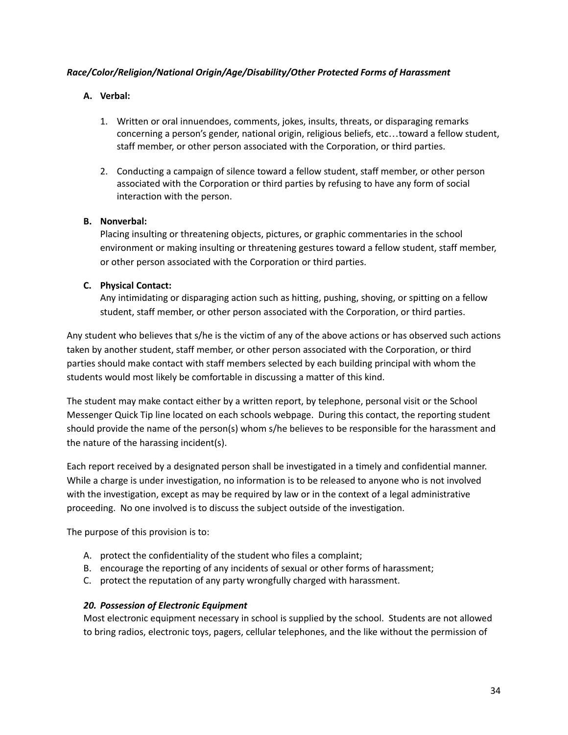## *Race/Color/Religion/National Origin/Age/Disability/Other Protected Forms of Harassment*

## **A. Verbal:**

- 1. Written or oral innuendoes, comments, jokes, insults, threats, or disparaging remarks concerning a person's gender, national origin, religious beliefs, etc…toward a fellow student, staff member, or other person associated with the Corporation, or third parties.
- 2. Conducting a campaign of silence toward a fellow student, staff member, or other person associated with the Corporation or third parties by refusing to have any form of social interaction with the person.

## **B. Nonverbal:**

Placing insulting or threatening objects, pictures, or graphic commentaries in the school environment or making insulting or threatening gestures toward a fellow student, staff member, or other person associated with the Corporation or third parties.

## **C. Physical Contact:**

Any intimidating or disparaging action such as hitting, pushing, shoving, or spitting on a fellow student, staff member, or other person associated with the Corporation, or third parties.

Any student who believes that s/he is the victim of any of the above actions or has observed such actions taken by another student, staff member, or other person associated with the Corporation, or third parties should make contact with staff members selected by each building principal with whom the students would most likely be comfortable in discussing a matter of this kind.

The student may make contact either by a written report, by telephone, personal visit or the School Messenger Quick Tip line located on each schools webpage. During this contact, the reporting student should provide the name of the person(s) whom s/he believes to be responsible for the harassment and the nature of the harassing incident(s).

Each report received by a designated person shall be investigated in a timely and confidential manner. While a charge is under investigation, no information is to be released to anyone who is not involved with the investigation, except as may be required by law or in the context of a legal administrative proceeding. No one involved is to discuss the subject outside of the investigation.

The purpose of this provision is to:

- A. protect the confidentiality of the student who files a complaint;
- B. encourage the reporting of any incidents of sexual or other forms of harassment;
- C. protect the reputation of any party wrongfully charged with harassment.

#### *20. Possession of Electronic Equipment*

Most electronic equipment necessary in school is supplied by the school. Students are not allowed to bring radios, electronic toys, pagers, cellular telephones, and the like without the permission of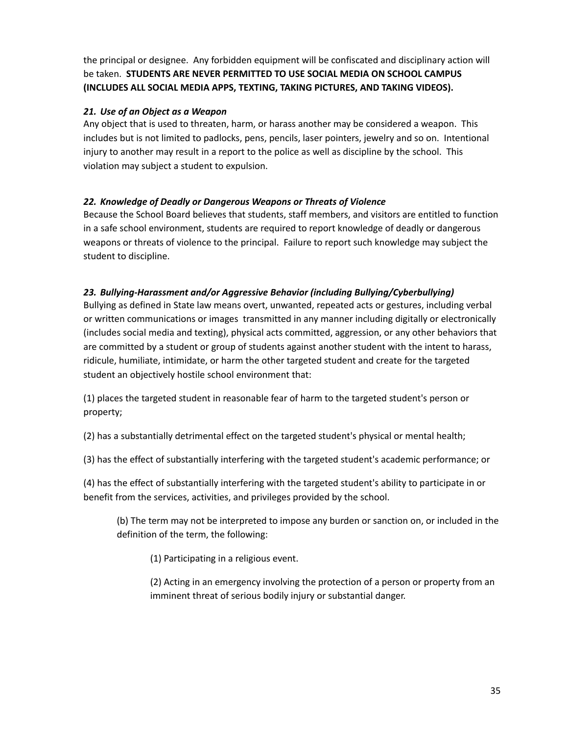the principal or designee. Any forbidden equipment will be confiscated and disciplinary action will be taken. **STUDENTS ARE NEVER PERMITTED TO USE SOCIAL MEDIA ON SCHOOL CAMPUS (INCLUDES ALL SOCIAL MEDIA APPS, TEXTING, TAKING PICTURES, AND TAKING VIDEOS).**

## *21. Use of an Object as a Weapon*

Any object that is used to threaten, harm, or harass another may be considered a weapon. This includes but is not limited to padlocks, pens, pencils, laser pointers, jewelry and so on. Intentional injury to another may result in a report to the police as well as discipline by the school. This violation may subject a student to expulsion.

## *22. Knowledge of Deadly or Dangerous Weapons or Threats of Violence*

Because the School Board believes that students, staff members, and visitors are entitled to function in a safe school environment, students are required to report knowledge of deadly or dangerous weapons or threats of violence to the principal. Failure to report such knowledge may subject the student to discipline.

## *23. Bullying-Harassment and/or Aggressive Behavior (including Bullying/Cyberbullying)*

Bullying as defined in State law means overt, unwanted, repeated acts or gestures, including verbal or written communications or images transmitted in any manner including digitally or electronically (includes social media and texting), physical acts committed, aggression, or any other behaviors that are committed by a student or group of students against another student with the intent to harass, ridicule, humiliate, intimidate, or harm the other targeted student and create for the targeted student an objectively hostile school environment that:

(1) places the targeted student in reasonable fear of harm to the targeted student's person or property;

(2) has a substantially detrimental effect on the targeted student's physical or mental health;

(3) has the effect of substantially interfering with the targeted student's academic performance; or

(4) has the effect of substantially interfering with the targeted student's ability to participate in or benefit from the services, activities, and privileges provided by the school.

(b) The term may not be interpreted to impose any burden or sanction on, or included in the definition of the term, the following:

(1) Participating in a religious event.

(2) Acting in an emergency involving the protection of a person or property from an imminent threat of serious bodily injury or substantial danger.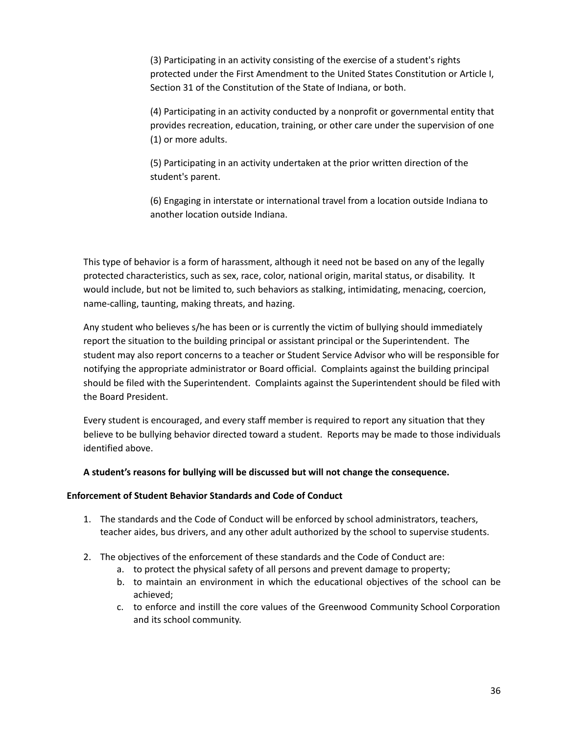(3) Participating in an activity consisting of the exercise of a student's rights protected under the First Amendment to the United States Constitution or Article I, Section 31 of the Constitution of the State of Indiana, or both.

(4) Participating in an activity conducted by a nonprofit or governmental entity that provides recreation, education, training, or other care under the supervision of one (1) or more adults.

(5) Participating in an activity undertaken at the prior written direction of the student's parent.

(6) Engaging in interstate or international travel from a location outside Indiana to another location outside Indiana.

This type of behavior is a form of harassment, although it need not be based on any of the legally protected characteristics, such as sex, race, color, national origin, marital status, or disability. It would include, but not be limited to, such behaviors as stalking, intimidating, menacing, coercion, name-calling, taunting, making threats, and hazing.

Any student who believes s/he has been or is currently the victim of bullying should immediately report the situation to the building principal or assistant principal or the Superintendent. The student may also report concerns to a teacher or Student Service Advisor who will be responsible for notifying the appropriate administrator or Board official. Complaints against the building principal should be filed with the Superintendent. Complaints against the Superintendent should be filed with the Board President.

Every student is encouraged, and every staff member is required to report any situation that they believe to be bullying behavior directed toward a student. Reports may be made to those individuals identified above.

#### **A student's reasons for bullying will be discussed but will not change the consequence.**

#### **Enforcement of Student Behavior Standards and Code of Conduct**

- 1. The standards and the Code of Conduct will be enforced by school administrators, teachers, teacher aides, bus drivers, and any other adult authorized by the school to supervise students.
- 2. The objectives of the enforcement of these standards and the Code of Conduct are:
	- a. to protect the physical safety of all persons and prevent damage to property;
	- b. to maintain an environment in which the educational objectives of the school can be achieved;
	- c. to enforce and instill the core values of the Greenwood Community School Corporation and its school community.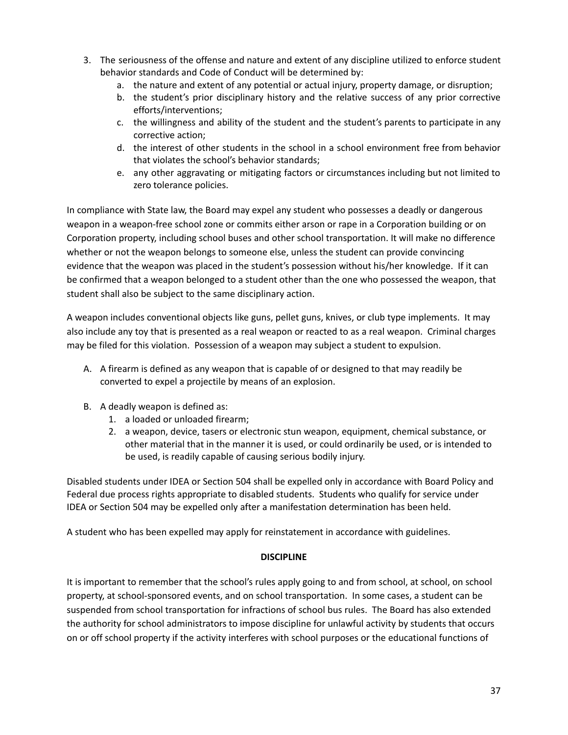- 3. The seriousness of the offense and nature and extent of any discipline utilized to enforce student behavior standards and Code of Conduct will be determined by:
	- a. the nature and extent of any potential or actual injury, property damage, or disruption;
	- b. the student's prior disciplinary history and the relative success of any prior corrective efforts/interventions;
	- c. the willingness and ability of the student and the student's parents to participate in any corrective action;
	- d. the interest of other students in the school in a school environment free from behavior that violates the school's behavior standards;
	- e. any other aggravating or mitigating factors or circumstances including but not limited to zero tolerance policies.

In compliance with State law, the Board may expel any student who possesses a deadly or dangerous weapon in a weapon-free school zone or commits either arson or rape in a Corporation building or on Corporation property, including school buses and other school transportation. It will make no difference whether or not the weapon belongs to someone else, unless the student can provide convincing evidence that the weapon was placed in the student's possession without his/her knowledge. If it can be confirmed that a weapon belonged to a student other than the one who possessed the weapon, that student shall also be subject to the same disciplinary action.

A weapon includes conventional objects like guns, pellet guns, knives, or club type implements. It may also include any toy that is presented as a real weapon or reacted to as a real weapon. Criminal charges may be filed for this violation. Possession of a weapon may subject a student to expulsion.

- A. A firearm is defined as any weapon that is capable of or designed to that may readily be converted to expel a projectile by means of an explosion.
- B. A deadly weapon is defined as:
	- 1. a loaded or unloaded firearm;
	- 2. a weapon, device, tasers or electronic stun weapon, equipment, chemical substance, or other material that in the manner it is used, or could ordinarily be used, or is intended to be used, is readily capable of causing serious bodily injury.

Disabled students under IDEA or Section 504 shall be expelled only in accordance with Board Policy and Federal due process rights appropriate to disabled students. Students who qualify for service under IDEA or Section 504 may be expelled only after a manifestation determination has been held.

A student who has been expelled may apply for reinstatement in accordance with guidelines.

## **DISCIPLINE**

It is important to remember that the school's rules apply going to and from school, at school, on school property, at school-sponsored events, and on school transportation. In some cases, a student can be suspended from school transportation for infractions of school bus rules. The Board has also extended the authority for school administrators to impose discipline for unlawful activity by students that occurs on or off school property if the activity interferes with school purposes or the educational functions of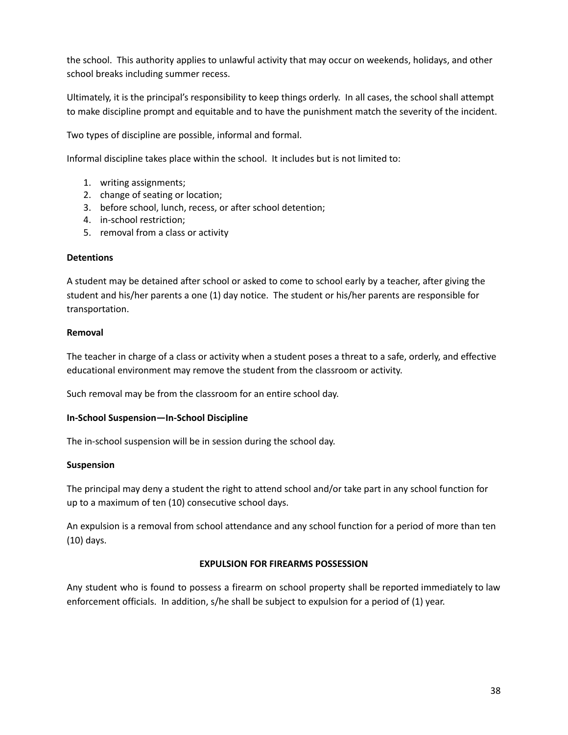the school. This authority applies to unlawful activity that may occur on weekends, holidays, and other school breaks including summer recess.

Ultimately, it is the principal's responsibility to keep things orderly. In all cases, the school shall attempt to make discipline prompt and equitable and to have the punishment match the severity of the incident.

Two types of discipline are possible, informal and formal.

Informal discipline takes place within the school. It includes but is not limited to:

- 1. writing assignments;
- 2. change of seating or location;
- 3. before school, lunch, recess, or after school detention;
- 4. in-school restriction;
- 5. removal from a class or activity

#### **Detentions**

A student may be detained after school or asked to come to school early by a teacher, after giving the student and his/her parents a one (1) day notice. The student or his/her parents are responsible for transportation.

#### **Removal**

The teacher in charge of a class or activity when a student poses a threat to a safe, orderly, and effective educational environment may remove the student from the classroom or activity.

Such removal may be from the classroom for an entire school day.

#### **In-School Suspension—In-School Discipline**

The in-school suspension will be in session during the school day.

#### **Suspension**

The principal may deny a student the right to attend school and/or take part in any school function for up to a maximum of ten (10) consecutive school days.

An expulsion is a removal from school attendance and any school function for a period of more than ten (10) days.

#### **EXPULSION FOR FIREARMS POSSESSION**

Any student who is found to possess a firearm on school property shall be reported immediately to law enforcement officials. In addition, s/he shall be subject to expulsion for a period of (1) year.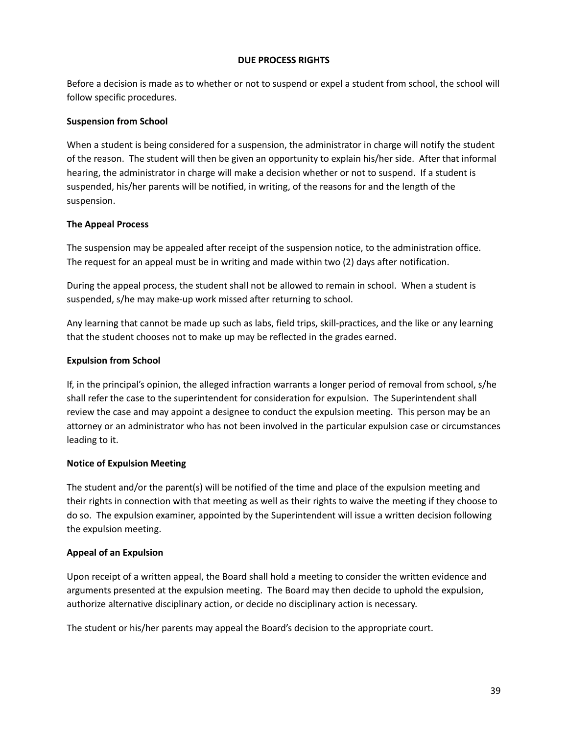#### **DUE PROCESS RIGHTS**

Before a decision is made as to whether or not to suspend or expel a student from school, the school will follow specific procedures.

#### **Suspension from School**

When a student is being considered for a suspension, the administrator in charge will notify the student of the reason. The student will then be given an opportunity to explain his/her side. After that informal hearing, the administrator in charge will make a decision whether or not to suspend. If a student is suspended, his/her parents will be notified, in writing, of the reasons for and the length of the suspension.

## **The Appeal Process**

The suspension may be appealed after receipt of the suspension notice, to the administration office. The request for an appeal must be in writing and made within two (2) days after notification.

During the appeal process, the student shall not be allowed to remain in school. When a student is suspended, s/he may make-up work missed after returning to school.

Any learning that cannot be made up such as labs, field trips, skill-practices, and the like or any learning that the student chooses not to make up may be reflected in the grades earned.

## **Expulsion from School**

If, in the principal's opinion, the alleged infraction warrants a longer period of removal from school, s/he shall refer the case to the superintendent for consideration for expulsion. The Superintendent shall review the case and may appoint a designee to conduct the expulsion meeting. This person may be an attorney or an administrator who has not been involved in the particular expulsion case or circumstances leading to it.

#### **Notice of Expulsion Meeting**

The student and/or the parent(s) will be notified of the time and place of the expulsion meeting and their rights in connection with that meeting as well as their rights to waive the meeting if they choose to do so. The expulsion examiner, appointed by the Superintendent will issue a written decision following the expulsion meeting.

#### **Appeal of an Expulsion**

Upon receipt of a written appeal, the Board shall hold a meeting to consider the written evidence and arguments presented at the expulsion meeting. The Board may then decide to uphold the expulsion, authorize alternative disciplinary action, or decide no disciplinary action is necessary.

The student or his/her parents may appeal the Board's decision to the appropriate court.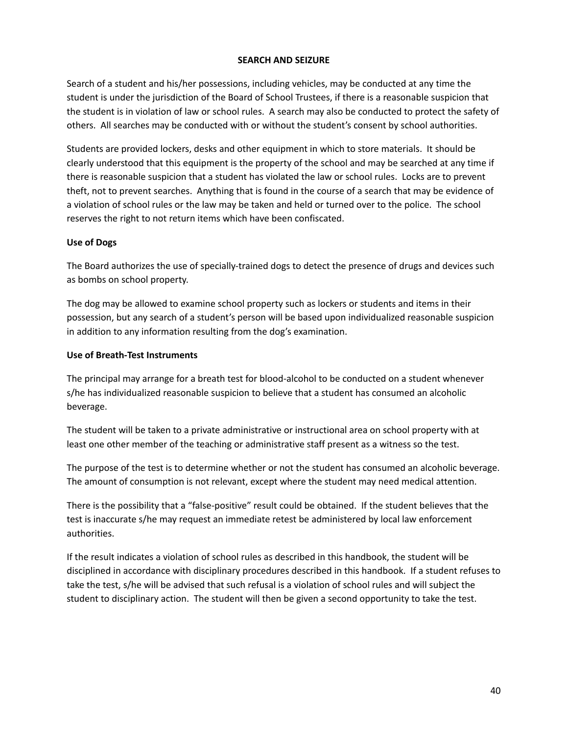#### **SEARCH AND SEIZURE**

Search of a student and his/her possessions, including vehicles, may be conducted at any time the student is under the jurisdiction of the Board of School Trustees, if there is a reasonable suspicion that the student is in violation of law or school rules. A search may also be conducted to protect the safety of others. All searches may be conducted with or without the student's consent by school authorities.

Students are provided lockers, desks and other equipment in which to store materials. It should be clearly understood that this equipment is the property of the school and may be searched at any time if there is reasonable suspicion that a student has violated the law or school rules. Locks are to prevent theft, not to prevent searches. Anything that is found in the course of a search that may be evidence of a violation of school rules or the law may be taken and held or turned over to the police. The school reserves the right to not return items which have been confiscated.

#### **Use of Dogs**

The Board authorizes the use of specially-trained dogs to detect the presence of drugs and devices such as bombs on school property.

The dog may be allowed to examine school property such as lockers or students and items in their possession, but any search of a student's person will be based upon individualized reasonable suspicion in addition to any information resulting from the dog's examination.

#### **Use of Breath-Test Instruments**

The principal may arrange for a breath test for blood-alcohol to be conducted on a student whenever s/he has individualized reasonable suspicion to believe that a student has consumed an alcoholic beverage.

The student will be taken to a private administrative or instructional area on school property with at least one other member of the teaching or administrative staff present as a witness so the test.

The purpose of the test is to determine whether or not the student has consumed an alcoholic beverage. The amount of consumption is not relevant, except where the student may need medical attention.

There is the possibility that a "false-positive" result could be obtained. If the student believes that the test is inaccurate s/he may request an immediate retest be administered by local law enforcement authorities.

If the result indicates a violation of school rules as described in this handbook, the student will be disciplined in accordance with disciplinary procedures described in this handbook. If a student refuses to take the test, s/he will be advised that such refusal is a violation of school rules and will subject the student to disciplinary action. The student will then be given a second opportunity to take the test.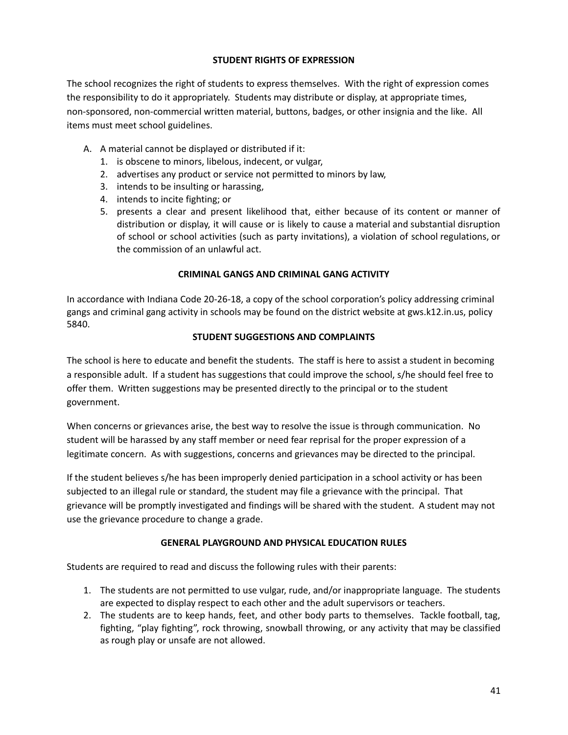## **STUDENT RIGHTS OF EXPRESSION**

The school recognizes the right of students to express themselves. With the right of expression comes the responsibility to do it appropriately. Students may distribute or display, at appropriate times, non-sponsored, non-commercial written material, buttons, badges, or other insignia and the like. All items must meet school guidelines.

- A. A material cannot be displayed or distributed if it:
	- 1. is obscene to minors, libelous, indecent, or vulgar,
	- 2. advertises any product or service not permitted to minors by law,
	- 3. intends to be insulting or harassing,
	- 4. intends to incite fighting; or
	- 5. presents a clear and present likelihood that, either because of its content or manner of distribution or display, it will cause or is likely to cause a material and substantial disruption of school or school activities (such as party invitations), a violation of school regulations, or the commission of an unlawful act.

## **CRIMINAL GANGS AND CRIMINAL GANG ACTIVITY**

In accordance with Indiana Code 20-26-18, a copy of the school corporation's policy addressing criminal gangs and criminal gang activity in schools may be found on the district website at gws.k12.in.us, policy 5840.

## **STUDENT SUGGESTIONS AND COMPLAINTS**

The school is here to educate and benefit the students. The staff is here to assist a student in becoming a responsible adult. If a student has suggestions that could improve the school, s/he should feel free to offer them. Written suggestions may be presented directly to the principal or to the student government.

When concerns or grievances arise, the best way to resolve the issue is through communication. No student will be harassed by any staff member or need fear reprisal for the proper expression of a legitimate concern. As with suggestions, concerns and grievances may be directed to the principal.

If the student believes s/he has been improperly denied participation in a school activity or has been subjected to an illegal rule or standard, the student may file a grievance with the principal. That grievance will be promptly investigated and findings will be shared with the student. A student may not use the grievance procedure to change a grade.

## **GENERAL PLAYGROUND AND PHYSICAL EDUCATION RULES**

Students are required to read and discuss the following rules with their parents:

- 1. The students are not permitted to use vulgar, rude, and/or inappropriate language. The students are expected to display respect to each other and the adult supervisors or teachers.
- 2. The students are to keep hands, feet, and other body parts to themselves. Tackle football, tag, fighting, "play fighting", rock throwing, snowball throwing, or any activity that may be classified as rough play or unsafe are not allowed.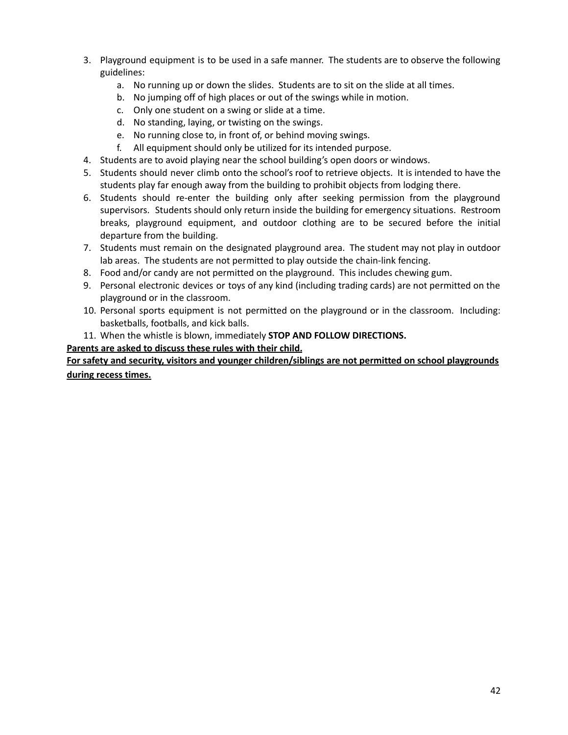- 3. Playground equipment is to be used in a safe manner. The students are to observe the following guidelines:
	- a. No running up or down the slides. Students are to sit on the slide at all times.
	- b. No jumping off of high places or out of the swings while in motion.
	- c. Only one student on a swing or slide at a time.
	- d. No standing, laying, or twisting on the swings.
	- e. No running close to, in front of, or behind moving swings.
	- f. All equipment should only be utilized for its intended purpose.
- 4. Students are to avoid playing near the school building's open doors or windows.
- 5. Students should never climb onto the school's roof to retrieve objects. It is intended to have the students play far enough away from the building to prohibit objects from lodging there.
- 6. Students should re-enter the building only after seeking permission from the playground supervisors. Students should only return inside the building for emergency situations. Restroom breaks, playground equipment, and outdoor clothing are to be secured before the initial departure from the building.
- 7. Students must remain on the designated playground area. The student may not play in outdoor lab areas. The students are not permitted to play outside the chain-link fencing.
- 8. Food and/or candy are not permitted on the playground. This includes chewing gum.
- 9. Personal electronic devices or toys of any kind (including trading cards) are not permitted on the playground or in the classroom.
- 10. Personal sports equipment is not permitted on the playground or in the classroom. Including: basketballs, footballs, and kick balls.
- 11. When the whistle is blown, immediately **STOP AND FOLLOW DIRECTIONS.**

**Parents are asked to discuss these rules with their child.**

**For safety and security, visitors and younger children/siblings are not permitted on school playgrounds during recess times.**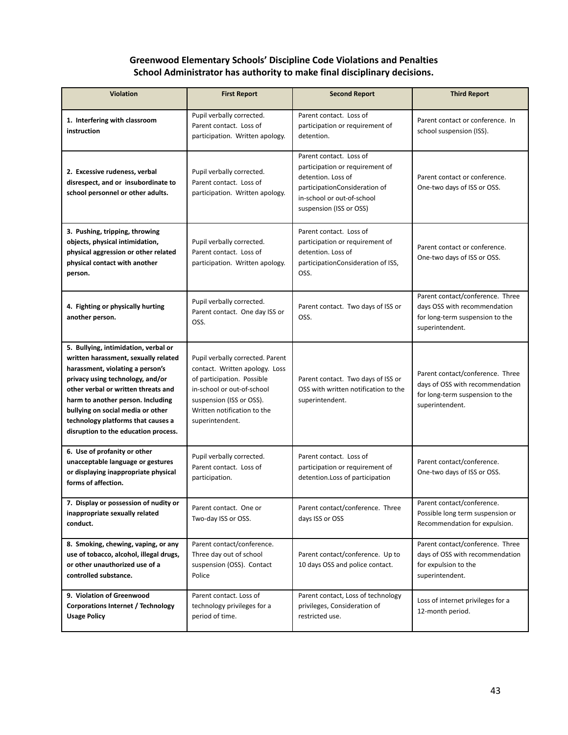## **Greenwood Elementary Schools' Discipline Code Violations and Penalties School Administrator has authority to make final disciplinary decisions.**

| <b>Violation</b>                                                                                                                                                                                                                                                                                                                                    | <b>First Report</b>                                                                                                                                                                                          | <b>Second Report</b>                                                                                                                                                       | <b>Third Report</b>                                                                                                       |
|-----------------------------------------------------------------------------------------------------------------------------------------------------------------------------------------------------------------------------------------------------------------------------------------------------------------------------------------------------|--------------------------------------------------------------------------------------------------------------------------------------------------------------------------------------------------------------|----------------------------------------------------------------------------------------------------------------------------------------------------------------------------|---------------------------------------------------------------------------------------------------------------------------|
| 1. Interfering with classroom<br>instruction                                                                                                                                                                                                                                                                                                        | Pupil verbally corrected.<br>Parent contact. Loss of<br>participation. Written apology.                                                                                                                      | Parent contact. Loss of<br>participation or requirement of<br>detention.                                                                                                   | Parent contact or conference. In<br>school suspension (ISS).                                                              |
| 2. Excessive rudeness, verbal<br>disrespect, and or insubordinate to<br>school personnel or other adults.                                                                                                                                                                                                                                           | Pupil verbally corrected.<br>Parent contact. Loss of<br>participation. Written apology.                                                                                                                      | Parent contact. Loss of<br>participation or requirement of<br>detention. Loss of<br>participationConsideration of<br>in-school or out-of-school<br>suspension (ISS or OSS) | Parent contact or conference.<br>One-two days of ISS or OSS.                                                              |
| 3. Pushing, tripping, throwing<br>objects, physical intimidation,<br>physical aggression or other related<br>physical contact with another<br>person.                                                                                                                                                                                               | Pupil verbally corrected.<br>Parent contact. Loss of<br>participation. Written apology.                                                                                                                      | Parent contact. Loss of<br>participation or requirement of<br>detention. Loss of<br>participationConsideration of ISS,<br>OSS.                                             | Parent contact or conference.<br>One-two days of ISS or OSS.                                                              |
| 4. Fighting or physically hurting<br>another person.                                                                                                                                                                                                                                                                                                | Pupil verbally corrected.<br>Parent contact. One day ISS or<br>OSS.                                                                                                                                          | Parent contact. Two days of ISS or<br>OSS.                                                                                                                                 | Parent contact/conference. Three<br>days OSS with recommendation<br>for long-term suspension to the<br>superintendent.    |
| 5. Bullying, intimidation, verbal or<br>written harassment, sexually related<br>harassment, violating a person's<br>privacy using technology, and/or<br>other verbal or written threats and<br>harm to another person. Including<br>bullying on social media or other<br>technology platforms that causes a<br>disruption to the education process. | Pupil verbally corrected. Parent<br>contact. Written apology. Loss<br>of participation. Possible<br>in-school or out-of-school<br>suspension (ISS or OSS).<br>Written notification to the<br>superintendent. | Parent contact. Two days of ISS or<br>OSS with written notification to the<br>superintendent.                                                                              | Parent contact/conference. Three<br>days of OSS with recommendation<br>for long-term suspension to the<br>superintendent. |
| 6. Use of profanity or other<br>unacceptable language or gestures<br>or displaying inappropriate physical<br>forms of affection.                                                                                                                                                                                                                    | Pupil verbally corrected.<br>Parent contact. Loss of<br>participation.                                                                                                                                       | Parent contact. Loss of<br>participation or requirement of<br>detention.Loss of participation                                                                              | Parent contact/conference.<br>One-two days of ISS or OSS.                                                                 |
| 7. Display or possession of nudity or<br>inappropriate sexually related<br>conduct.                                                                                                                                                                                                                                                                 | Parent contact. One or<br>Two-day ISS or OSS.                                                                                                                                                                | Parent contact/conference. Three<br>days ISS or OSS                                                                                                                        | Parent contact/conference.<br>Possible long term suspension or<br>Recommendation for expulsion.                           |
| 8. Smoking, chewing, vaping, or any<br>use of tobacco, alcohol, illegal drugs,<br>or other unauthorized use of a<br>controlled substance.                                                                                                                                                                                                           | Parent contact/conference.<br>Three day out of school<br>suspension (OSS). Contact<br>Police                                                                                                                 | Parent contact/conference. Up to<br>10 days OSS and police contact.                                                                                                        | Parent contact/conference. Three<br>days of OSS with recommendation<br>for expulsion to the<br>superintendent.            |
| 9. Violation of Greenwood<br><b>Corporations Internet / Technology</b><br><b>Usage Policy</b>                                                                                                                                                                                                                                                       | Parent contact. Loss of<br>technology privileges for a<br>period of time.                                                                                                                                    | Parent contact, Loss of technology<br>privileges, Consideration of<br>restricted use.                                                                                      | Loss of internet privileges for a<br>12-month period.                                                                     |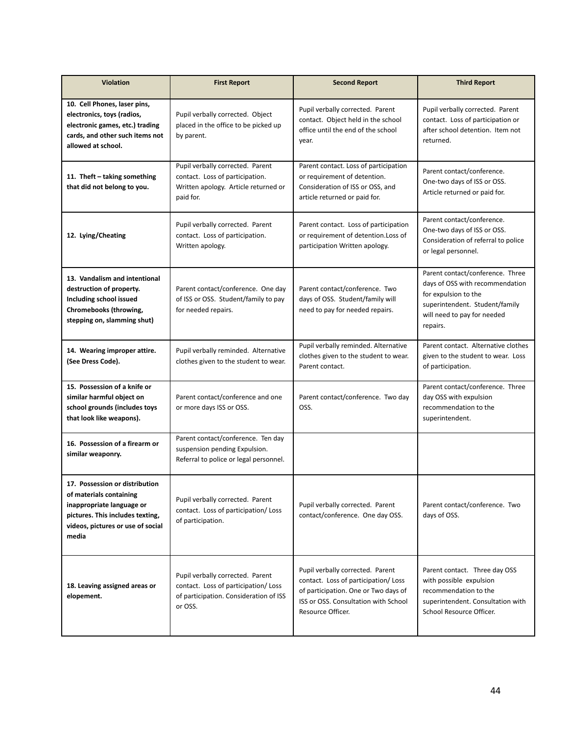| <b>Violation</b>                                                                                                                                                         | <b>First Report</b>                                                                                                           | <b>Second Report</b>                                                                                                                                                          | <b>Third Report</b>                                                                                                                                                      |
|--------------------------------------------------------------------------------------------------------------------------------------------------------------------------|-------------------------------------------------------------------------------------------------------------------------------|-------------------------------------------------------------------------------------------------------------------------------------------------------------------------------|--------------------------------------------------------------------------------------------------------------------------------------------------------------------------|
| 10. Cell Phones, laser pins,<br>electronics, toys (radios,<br>electronic games, etc.) trading<br>cards, and other such items not<br>allowed at school.                   | Pupil verbally corrected. Object<br>placed in the office to be picked up<br>by parent.                                        | Pupil verbally corrected. Parent<br>contact. Object held in the school<br>office until the end of the school<br>year.                                                         | Pupil verbally corrected. Parent<br>contact. Loss of participation or<br>after school detention. Item not<br>returned.                                                   |
| 11. Theft - taking something<br>that did not belong to you.                                                                                                              | Pupil verbally corrected. Parent<br>contact. Loss of participation.<br>Written apology. Article returned or<br>paid for.      | Parent contact. Loss of participation<br>or requirement of detention.<br>Consideration of ISS or OSS, and<br>article returned or paid for.                                    | Parent contact/conference.<br>One-two days of ISS or OSS.<br>Article returned or paid for.                                                                               |
| 12. Lying/Cheating                                                                                                                                                       | Pupil verbally corrected. Parent<br>contact. Loss of participation.<br>Written apology.                                       | Parent contact. Loss of participation<br>or requirement of detention.Loss of<br>participation Written apology.                                                                | Parent contact/conference.<br>One-two days of ISS or OSS.<br>Consideration of referral to police<br>or legal personnel.                                                  |
| 13. Vandalism and intentional<br>destruction of property.<br>Including school issued<br>Chromebooks (throwing,<br>stepping on, slamming shut)                            | Parent contact/conference. One day<br>of ISS or OSS. Student/family to pay<br>for needed repairs.                             | Parent contact/conference. Two<br>days of OSS. Student/family will<br>need to pay for needed repairs.                                                                         | Parent contact/conference. Three<br>days of OSS with recommendation<br>for expulsion to the<br>superintendent. Student/family<br>will need to pay for needed<br>repairs. |
| 14. Wearing improper attire.<br>(See Dress Code).                                                                                                                        | Pupil verbally reminded. Alternative<br>clothes given to the student to wear.                                                 | Pupil verbally reminded. Alternative<br>clothes given to the student to wear.<br>Parent contact.                                                                              | Parent contact. Alternative clothes<br>given to the student to wear. Loss<br>of participation.                                                                           |
| 15. Possession of a knife or<br>similar harmful object on<br>school grounds (includes toys<br>that look like weapons).                                                   | Parent contact/conference and one<br>or more days ISS or OSS.                                                                 | Parent contact/conference. Two day<br>OSS.                                                                                                                                    | Parent contact/conference. Three<br>day OSS with expulsion<br>recommendation to the<br>superintendent.                                                                   |
| 16. Possession of a firearm or<br>similar weaponry.                                                                                                                      | Parent contact/conference. Ten day<br>suspension pending Expulsion.<br>Referral to police or legal personnel.                 |                                                                                                                                                                               |                                                                                                                                                                          |
| 17. Possession or distribution<br>of materials containing<br>inappropriate language or<br>pictures. This includes texting,<br>videos, pictures or use of social<br>media | Pupil verbally corrected. Parent<br>contact. Loss of participation/ Loss<br>of participation.                                 | Pupil verbally corrected. Parent<br>contact/conference. One day OSS.                                                                                                          | Parent contact/conference. Two<br>days of OSS.                                                                                                                           |
| 18. Leaving assigned areas or<br>elopement.                                                                                                                              | Pupil verbally corrected. Parent<br>contact. Loss of participation/ Loss<br>of participation. Consideration of ISS<br>or OSS. | Pupil verbally corrected. Parent<br>contact. Loss of participation/ Loss<br>of participation. One or Two days of<br>ISS or OSS. Consultation with School<br>Resource Officer. | Parent contact. Three day OSS<br>with possible expulsion<br>recommendation to the<br>superintendent. Consultation with<br>School Resource Officer.                       |